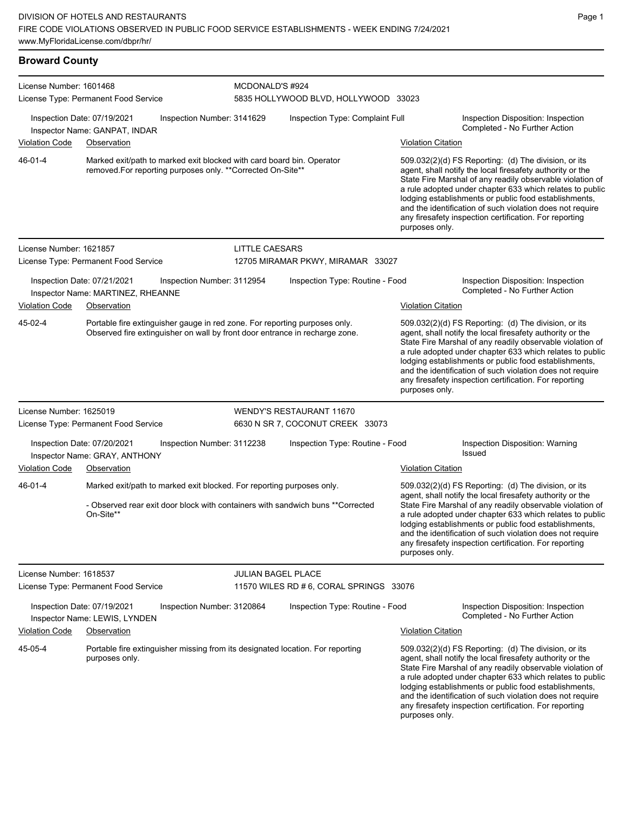| License Number: 1601468<br>License Type: Permanent Food Service                            |                                                                                                                                                           |                           | MCDONALD'S #924<br>5835 HOLLYWOOD BLVD, HOLLYWOOD 33023             |                                                                                                                                                                                                                                                                                                                                                                                                                                                                           |  |  |  |
|--------------------------------------------------------------------------------------------|-----------------------------------------------------------------------------------------------------------------------------------------------------------|---------------------------|---------------------------------------------------------------------|---------------------------------------------------------------------------------------------------------------------------------------------------------------------------------------------------------------------------------------------------------------------------------------------------------------------------------------------------------------------------------------------------------------------------------------------------------------------------|--|--|--|
| Inspection Date: 07/19/2021                                                                | Inspection Number: 3141629<br>Inspector Name: GANPAT, INDAR                                                                                               |                           | Inspection Type: Complaint Full                                     | Inspection Disposition: Inspection<br>Completed - No Further Action                                                                                                                                                                                                                                                                                                                                                                                                       |  |  |  |
| Violation Code                                                                             | Observation                                                                                                                                               |                           |                                                                     | <b>Violation Citation</b>                                                                                                                                                                                                                                                                                                                                                                                                                                                 |  |  |  |
| 46-01-4                                                                                    | Marked exit/path to marked exit blocked with card board bin. Operator<br>removed.For reporting purposes only. ** Corrected On-Site**                      |                           |                                                                     | 509.032(2)(d) FS Reporting: (d) The division, or its<br>agent, shall notify the local firesafety authority or the<br>State Fire Marshal of any readily observable violation of<br>a rule adopted under chapter 633 which relates to public<br>lodging establishments or public food establishments,<br>and the identification of such violation does not require<br>any firesafety inspection certification. For reporting<br>purposes only.                              |  |  |  |
| License Number: 1621857                                                                    | License Type: Permanent Food Service                                                                                                                      | <b>LITTLE CAESARS</b>     | 12705 MIRAMAR PKWY, MIRAMAR 33027                                   |                                                                                                                                                                                                                                                                                                                                                                                                                                                                           |  |  |  |
| Inspection Date: 07/21/2021                                                                | Inspection Number: 3112954<br>Inspector Name: MARTINEZ, RHEANNE                                                                                           |                           | Inspection Type: Routine - Food                                     | Inspection Disposition: Inspection<br>Completed - No Further Action                                                                                                                                                                                                                                                                                                                                                                                                       |  |  |  |
| <b>Violation Code</b>                                                                      | Observation                                                                                                                                               |                           |                                                                     | <b>Violation Citation</b>                                                                                                                                                                                                                                                                                                                                                                                                                                                 |  |  |  |
| 45-02-4                                                                                    | Portable fire extinguisher gauge in red zone. For reporting purposes only.<br>Observed fire extinguisher on wall by front door entrance in recharge zone. |                           |                                                                     | 509.032(2)(d) FS Reporting: (d) The division, or its<br>agent, shall notify the local firesafety authority or the<br>State Fire Marshal of any readily observable violation of<br>a rule adopted under chapter 633 which relates to public<br>lodging establishments or public food establishments,<br>and the identification of such violation does not require<br>any firesafety inspection certification. For reporting<br>purposes only.                              |  |  |  |
| License Number: 1625019                                                                    | License Type: Permanent Food Service                                                                                                                      |                           | <b>WENDY'S RESTAURANT 11670</b><br>6630 N SR 7, COCONUT CREEK 33073 |                                                                                                                                                                                                                                                                                                                                                                                                                                                                           |  |  |  |
| Inspection Date: 07/20/2021<br>Violation Code                                              | Inspection Number: 3112238<br>Inspector Name: GRAY, ANTHONY<br>Observation                                                                                |                           | Inspection Type: Routine - Food                                     | Inspection Disposition: Warning<br>Issued<br><b>Violation Citation</b>                                                                                                                                                                                                                                                                                                                                                                                                    |  |  |  |
| 46-01-4                                                                                    | Marked exit/path to marked exit blocked. For reporting purposes only.                                                                                     |                           |                                                                     | 509.032(2)(d) FS Reporting: (d) The division, or its                                                                                                                                                                                                                                                                                                                                                                                                                      |  |  |  |
|                                                                                            | - Observed rear exit door block with containers with sandwich buns **Corrected<br>On-Site**                                                               |                           |                                                                     | agent, shall notify the local firesafety authority or the<br>State Fire Marshal of any readily observable violation of<br>a rule adopted under chapter 633 which relates to public<br>lodging establishments or public food establishments,<br>and the identification of such violation does not require<br>any firesafety inspection certification. For reporting<br>purposes only.                                                                                      |  |  |  |
| License Number: 1618537                                                                    | License Type: Permanent Food Service                                                                                                                      | <b>JULIAN BAGEL PLACE</b> | 11570 WILES RD # 6, CORAL SPRINGS 33076                             |                                                                                                                                                                                                                                                                                                                                                                                                                                                                           |  |  |  |
| Inspection Date: 07/19/2021<br>Inspection Number: 3120864<br>Inspector Name: LEWIS, LYNDEN |                                                                                                                                                           |                           | Inspection Type: Routine - Food                                     | Inspection Disposition: Inspection<br>Completed - No Further Action                                                                                                                                                                                                                                                                                                                                                                                                       |  |  |  |
| <b>Violation Code</b><br>45-05-4                                                           | Observation<br>Portable fire extinguisher missing from its designated location. For reporting<br>purposes only.                                           |                           |                                                                     | <b>Violation Citation</b><br>509.032(2)(d) FS Reporting: (d) The division, or its<br>agent, shall notify the local firesafety authority or the<br>State Fire Marshal of any readily observable violation of<br>a rule adopted under chapter 633 which relates to public<br>lodging establishments or public food establishments,<br>and the identification of such violation does not require<br>any firesafety inspection certification. For reporting<br>purposes only. |  |  |  |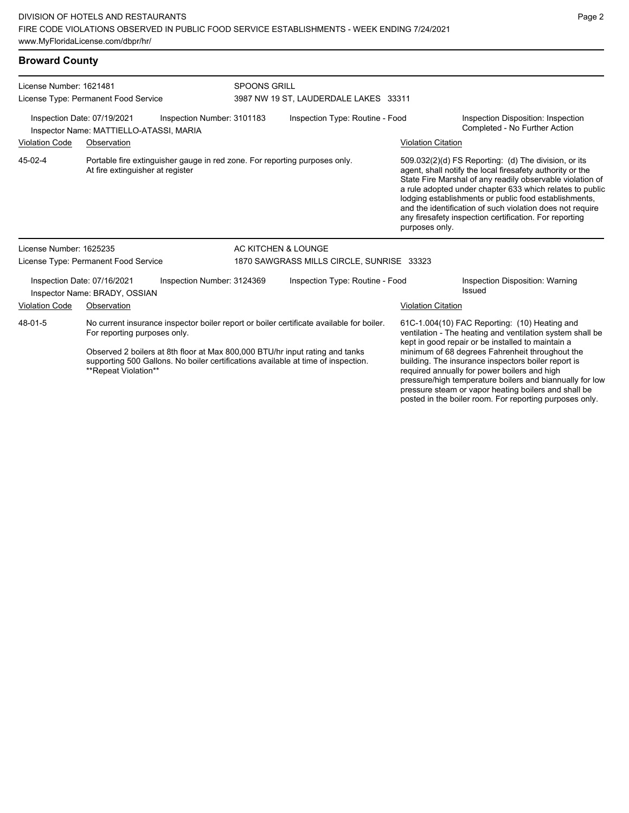#### **Broward County**

| License Number: 1621481                                                                                                                                                                                                                                                                                                          |                                                                        |                                                                            | <b>SPOONS GRILL</b>                   |                                                                                                                                                                                                                                                                                                                                                                                                                                                                                                          |                           |                                                                                                                                                                                                                                                                                                                                                                                                                            |
|----------------------------------------------------------------------------------------------------------------------------------------------------------------------------------------------------------------------------------------------------------------------------------------------------------------------------------|------------------------------------------------------------------------|----------------------------------------------------------------------------|---------------------------------------|----------------------------------------------------------------------------------------------------------------------------------------------------------------------------------------------------------------------------------------------------------------------------------------------------------------------------------------------------------------------------------------------------------------------------------------------------------------------------------------------------------|---------------------------|----------------------------------------------------------------------------------------------------------------------------------------------------------------------------------------------------------------------------------------------------------------------------------------------------------------------------------------------------------------------------------------------------------------------------|
|                                                                                                                                                                                                                                                                                                                                  | License Type: Permanent Food Service                                   |                                                                            | 3987 NW 19 ST, LAUDERDALE LAKES 33311 |                                                                                                                                                                                                                                                                                                                                                                                                                                                                                                          |                           |                                                                                                                                                                                                                                                                                                                                                                                                                            |
|                                                                                                                                                                                                                                                                                                                                  | Inspection Date: 07/19/2021<br>Inspector Name: MATTIELLO-ATASSI, MARIA | Inspection Number: 3101183                                                 | Inspection Type: Routine - Food       |                                                                                                                                                                                                                                                                                                                                                                                                                                                                                                          |                           | Inspection Disposition: Inspection<br>Completed - No Further Action                                                                                                                                                                                                                                                                                                                                                        |
| <b>Violation Code</b>                                                                                                                                                                                                                                                                                                            | Observation                                                            |                                                                            |                                       |                                                                                                                                                                                                                                                                                                                                                                                                                                                                                                          | <b>Violation Citation</b> |                                                                                                                                                                                                                                                                                                                                                                                                                            |
| 45-02-4                                                                                                                                                                                                                                                                                                                          | At fire extinguisher at register                                       | Portable fire extinguisher gauge in red zone. For reporting purposes only. |                                       |                                                                                                                                                                                                                                                                                                                                                                                                                                                                                                          | purposes only.            | 509.032(2)(d) FS Reporting: (d) The division, or its<br>agent, shall notify the local firesafety authority or the<br>State Fire Marshal of any readily observable violation of<br>a rule adopted under chapter 633 which relates to public<br>lodging establishments or public food establishments,<br>and the identification of such violation does not require<br>any firesafety inspection certification. For reporting |
| License Number: 1625235                                                                                                                                                                                                                                                                                                          |                                                                        |                                                                            |                                       | AC KITCHEN & LOUNGE                                                                                                                                                                                                                                                                                                                                                                                                                                                                                      |                           |                                                                                                                                                                                                                                                                                                                                                                                                                            |
|                                                                                                                                                                                                                                                                                                                                  | License Type: Permanent Food Service                                   |                                                                            |                                       | 1870 SAWGRASS MILLS CIRCLE, SUNRISE 33323                                                                                                                                                                                                                                                                                                                                                                                                                                                                |                           |                                                                                                                                                                                                                                                                                                                                                                                                                            |
|                                                                                                                                                                                                                                                                                                                                  | Inspection Date: 07/16/2021<br>Inspector Name: BRADY, OSSIAN           | Inspection Number: 3124369                                                 |                                       | Inspection Type: Routine - Food                                                                                                                                                                                                                                                                                                                                                                                                                                                                          |                           | Inspection Disposition: Warning<br>Issued                                                                                                                                                                                                                                                                                                                                                                                  |
| <b>Violation Code</b>                                                                                                                                                                                                                                                                                                            | Observation                                                            |                                                                            |                                       |                                                                                                                                                                                                                                                                                                                                                                                                                                                                                                          | <b>Violation Citation</b> |                                                                                                                                                                                                                                                                                                                                                                                                                            |
| 48-01-5<br>No current insurance inspector boiler report or boiler certificate available for boiler.<br>For reporting purposes only.<br>Observed 2 boilers at 8th floor at Max 800,000 BTU/hr input rating and tanks<br>supporting 500 Gallons. No boiler certifications available at time of inspection.<br>**Repeat Violation** |                                                                        |                                                                            |                                       | 61C-1.004(10) FAC Reporting: (10) Heating and<br>ventilation - The heating and ventilation system shall be<br>kept in good repair or be installed to maintain a<br>minimum of 68 degrees Fahrenheit throughout the<br>building. The insurance inspectors boiler report is<br>required annually for power boilers and high<br>pressure/high temperature boilers and biannually for low<br>pressure steam or vapor heating boilers and shall be<br>posted in the boiler room. For reporting purposes only. |                           |                                                                                                                                                                                                                                                                                                                                                                                                                            |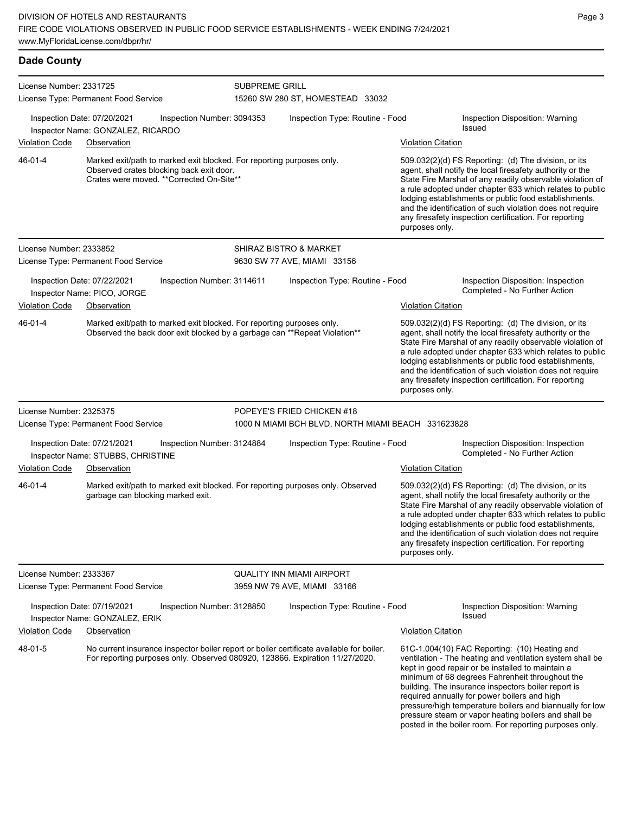| <b>Dade County</b>                                                                                                                     |                                                            |                                                                                                                                                               |                             |                                                                           |                                           |                                                                                                                                                                                                                                                                                                                                                                                                                            |
|----------------------------------------------------------------------------------------------------------------------------------------|------------------------------------------------------------|---------------------------------------------------------------------------------------------------------------------------------------------------------------|-----------------------------|---------------------------------------------------------------------------|-------------------------------------------|----------------------------------------------------------------------------------------------------------------------------------------------------------------------------------------------------------------------------------------------------------------------------------------------------------------------------------------------------------------------------------------------------------------------------|
| License Number: 2331725                                                                                                                |                                                            |                                                                                                                                                               | <b>SUBPREME GRILL</b>       |                                                                           |                                           |                                                                                                                                                                                                                                                                                                                                                                                                                            |
| License Type: Permanent Food Service<br>Inspection Date: 07/20/2021<br>Inspection Number: 3094353<br>Inspector Name: GONZALEZ, RICARDO |                                                            | 15260 SW 280 ST, HOMESTEAD 33032<br>Inspection Type: Routine - Food                                                                                           |                             |                                                                           | Inspection Disposition: Warning<br>Issued |                                                                                                                                                                                                                                                                                                                                                                                                                            |
| <b>Violation Code</b>                                                                                                                  | Observation                                                |                                                                                                                                                               |                             |                                                                           | <b>Violation Citation</b>                 |                                                                                                                                                                                                                                                                                                                                                                                                                            |
| $46 - 01 - 4$                                                                                                                          |                                                            | Marked exit/path to marked exit blocked. For reporting purposes only.<br>Observed crates blocking back exit door.<br>Crates were moved. **Corrected On-Site** |                             |                                                                           | purposes only.                            | 509.032(2)(d) FS Reporting: (d) The division, or its<br>agent, shall notify the local firesafety authority or the<br>State Fire Marshal of any readily observable violation of<br>a rule adopted under chapter 633 which relates to public<br>lodging establishments or public food establishments,<br>and the identification of such violation does not require<br>any firesafety inspection certification. For reporting |
| License Number: 2333852                                                                                                                |                                                            |                                                                                                                                                               |                             | <b>SHIRAZ BISTRO &amp; MARKET</b>                                         |                                           |                                                                                                                                                                                                                                                                                                                                                                                                                            |
|                                                                                                                                        | License Type: Permanent Food Service                       |                                                                                                                                                               | 9630 SW 77 AVE, MIAMI 33156 |                                                                           |                                           |                                                                                                                                                                                                                                                                                                                                                                                                                            |
|                                                                                                                                        | Inspection Date: 07/22/2021<br>Inspector Name: PICO, JORGE | Inspection Number: 3114611                                                                                                                                    |                             | Inspection Type: Routine - Food                                           |                                           | Inspection Disposition: Inspection<br>Completed - No Further Action                                                                                                                                                                                                                                                                                                                                                        |
| Violation Code                                                                                                                         | Observation                                                |                                                                                                                                                               |                             |                                                                           | <b>Violation Citation</b>                 |                                                                                                                                                                                                                                                                                                                                                                                                                            |
| 46-01-4                                                                                                                                |                                                            | Marked exit/path to marked exit blocked. For reporting purposes only.                                                                                         |                             | Observed the back door exit blocked by a garbage can **Repeat Violation** | purposes only.                            | 509.032(2)(d) FS Reporting: (d) The division, or its<br>agent, shall notify the local firesafety authority or the<br>State Fire Marshal of any readily observable violation of<br>a rule adopted under chapter 633 which relates to public<br>lodging establishments or public food establishments,<br>and the identification of such violation does not require<br>any firesafety inspection certification. For reporting |

POPEYE'S FRIED CHICKEN #18

QUALITY INN MIAMI AIRPORT 3959 NW 79 AVE, MIAMI 33166

Violation Code Observation Violation Citation Marked exit/path to marked exit blocked. For reporting purposes only. Observed

No current insurance inspector boiler report or boiler certificate available for boiler.

Inspection Date: 07/21/2021 Inspection Number: 3124884 Inspection Type: Routine - Food Inspection Disposition: Inspection

1000 N MIAMI BCH BLVD, NORTH MIAMI BEACH 331623828

License Number: 2325375

License Number: 2333367

License Type: Permanent Food Service

46-01-4

48-01-5

License Type: Permanent Food Service

Inspector Name: STUBBS, CHRISTINE

garbage can blocking marked exit.

Inspection Date: 07/19/2021 Inspection Number: 3128850 Inspection Type: Routine - Food Inspection Disposition: Warning Issued Inspector Name: GONZALEZ, ERIK Violation Code Observation Violation Citation 61C-1.004(10) FAC Reporting: (10) Heating and ventilation - The heating and ventilation system shall be kept in good repair or be installed to maintain a minimum of 68 degrees Fahrenheit throughout the building. The insurance inspectors boiler report is required annually for power boilers and high pressure/high temperature boilers and biannually for low pressure steam or vapor heating boilers and shall be

posted in the boiler room. For reporting purposes only.

509.032(2)(d) FS Reporting: (d) The division, or its agent, shall notify the local firesafety authority or the State Fire Marshal of any readily observable violation of a rule adopted under chapter 633 which relates to public lodging establishments or public food establishments, and the identification of such violation does not require any firesafety inspection certification. For reporting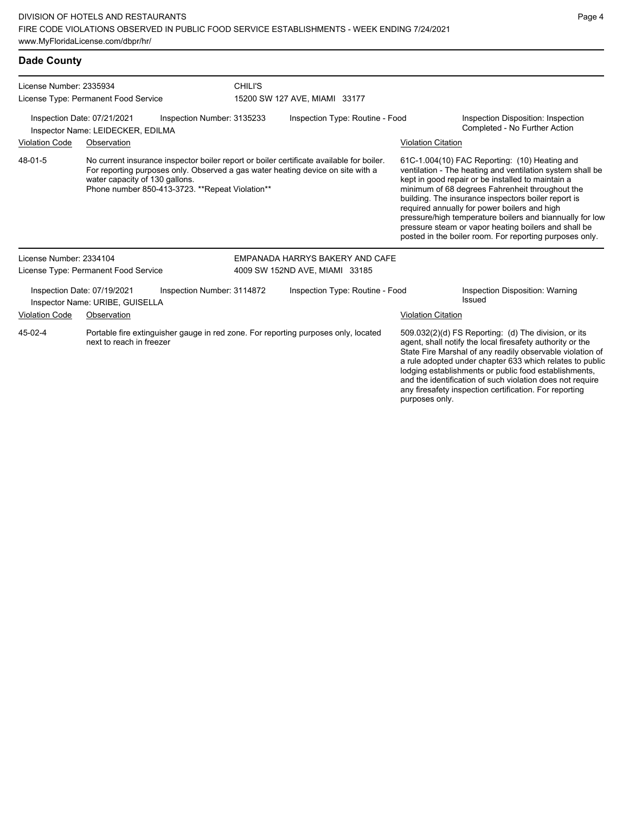| License Number: 2335934 |                                                                  | <b>CHILI'S</b>                                                                                                                                                                                                                 |                                 |                           |                                                                                                                                                                                                                                                                                                                                                                                                                                                                                                          |
|-------------------------|------------------------------------------------------------------|--------------------------------------------------------------------------------------------------------------------------------------------------------------------------------------------------------------------------------|---------------------------------|---------------------------|----------------------------------------------------------------------------------------------------------------------------------------------------------------------------------------------------------------------------------------------------------------------------------------------------------------------------------------------------------------------------------------------------------------------------------------------------------------------------------------------------------|
|                         | License Type: Permanent Food Service                             |                                                                                                                                                                                                                                | 15200 SW 127 AVE, MIAMI 33177   |                           |                                                                                                                                                                                                                                                                                                                                                                                                                                                                                                          |
|                         | Inspection Date: 07/21/2021<br>Inspector Name: LEIDECKER, EDILMA | Inspection Number: 3135233                                                                                                                                                                                                     | Inspection Type: Routine - Food |                           | Inspection Disposition: Inspection<br>Completed - No Further Action                                                                                                                                                                                                                                                                                                                                                                                                                                      |
| <b>Violation Code</b>   | Observation                                                      |                                                                                                                                                                                                                                |                                 | <b>Violation Citation</b> |                                                                                                                                                                                                                                                                                                                                                                                                                                                                                                          |
| 48-01-5                 | water capacity of 130 gallons.                                   | No current insurance inspector boiler report or boiler certificate available for boiler.<br>For reporting purposes only. Observed a gas water heating device on site with a<br>Phone number 850-413-3723. **Repeat Violation** |                                 |                           | 61C-1.004(10) FAC Reporting: (10) Heating and<br>ventilation - The heating and ventilation system shall be<br>kept in good repair or be installed to maintain a<br>minimum of 68 degrees Fahrenheit throughout the<br>building. The insurance inspectors boiler report is<br>required annually for power boilers and high<br>pressure/high temperature boilers and biannually for low<br>pressure steam or vapor heating boilers and shall be<br>posted in the boiler room. For reporting purposes only. |
| License Number: 2334104 |                                                                  |                                                                                                                                                                                                                                | EMPANADA HARRYS BAKERY AND CAFE |                           |                                                                                                                                                                                                                                                                                                                                                                                                                                                                                                          |
|                         | License Type: Permanent Food Service                             |                                                                                                                                                                                                                                | 4009 SW 152ND AVE, MIAMI 33185  |                           |                                                                                                                                                                                                                                                                                                                                                                                                                                                                                                          |
|                         | Inspection Date: 07/19/2021<br>Inspector Name: URIBE, GUISELLA   | Inspection Number: 3114872                                                                                                                                                                                                     | Inspection Type: Routine - Food |                           | <b>Inspection Disposition: Warning</b><br>Issued                                                                                                                                                                                                                                                                                                                                                                                                                                                         |
| <b>Violation Code</b>   | Observation                                                      |                                                                                                                                                                                                                                |                                 | <b>Violation Citation</b> |                                                                                                                                                                                                                                                                                                                                                                                                                                                                                                          |
| 45-02-4                 | next to reach in freezer                                         | Portable fire extinguisher gauge in red zone. For reporting purposes only, located                                                                                                                                             |                                 |                           | 509.032(2)(d) FS Reporting: (d) The division, or its<br>agent, shall notify the local firesafety authority or the<br>State Fire Marshal of any readily observable violation of<br>a rule adopted under chapter 633 which relates to public<br>lodging establishments or public food establishments,<br>and the identification of such violation does not require                                                                                                                                         |

any firesafety inspection certification. For reporting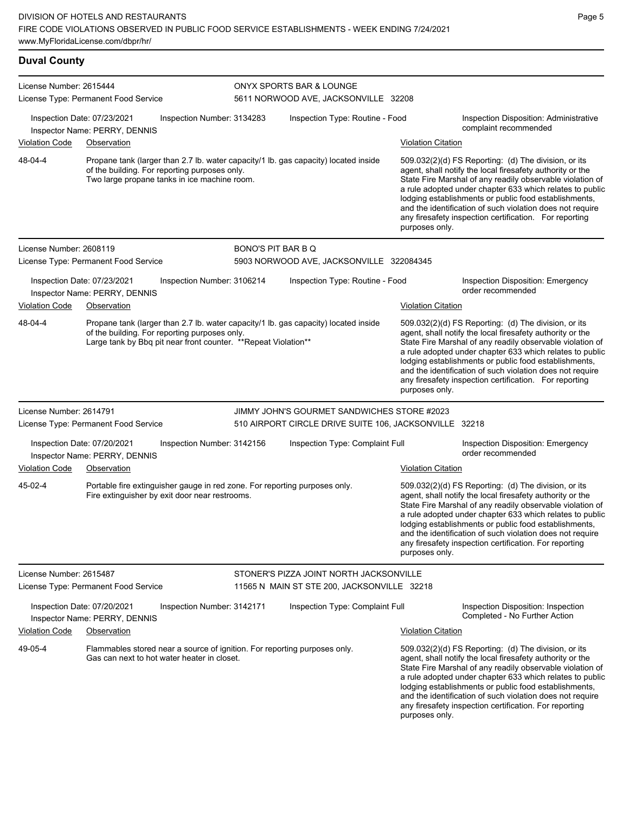| <b>Duval County</b>              |                                                                                                                                                                                                                        |                    |                                                                  |                                             |                                                                                                                                                                                                                                                                                                                                                                                                                            |
|----------------------------------|------------------------------------------------------------------------------------------------------------------------------------------------------------------------------------------------------------------------|--------------------|------------------------------------------------------------------|---------------------------------------------|----------------------------------------------------------------------------------------------------------------------------------------------------------------------------------------------------------------------------------------------------------------------------------------------------------------------------------------------------------------------------------------------------------------------------|
| License Number: 2615444          | License Type: Permanent Food Service                                                                                                                                                                                   |                    | ONYX SPORTS BAR & LOUNGE<br>5611 NORWOOD AVE, JACKSONVILLE 32208 |                                             |                                                                                                                                                                                                                                                                                                                                                                                                                            |
| Violation Code                   | Inspection Date: 07/23/2021<br>Inspection Number: 3134283<br>Inspector Name: PERRY, DENNIS<br>Observation                                                                                                              |                    | Inspection Type: Routine - Food                                  | <b>Violation Citation</b>                   | Inspection Disposition: Administrative<br>complaint recommended                                                                                                                                                                                                                                                                                                                                                            |
| 48-04-4                          | Propane tank (larger than 2.7 lb. water capacity/1 lb. gas capacity) located inside<br>of the building. For reporting purposes only.<br>Two large propane tanks in ice machine room.                                   |                    |                                                                  | purposes only.                              | 509.032(2)(d) FS Reporting: (d) The division, or its<br>agent, shall notify the local firesafety authority or the<br>State Fire Marshal of any readily observable violation of<br>a rule adopted under chapter 633 which relates to public<br>lodging establishments or public food establishments,<br>and the identification of such violation does not require<br>any firesafety inspection certification. For reporting |
| License Number: 2608119          |                                                                                                                                                                                                                        | BONO'S PIT BAR B Q |                                                                  |                                             |                                                                                                                                                                                                                                                                                                                                                                                                                            |
|                                  | License Type: Permanent Food Service                                                                                                                                                                                   |                    | 5903 NORWOOD AVE, JACKSONVILLE 322084345                         |                                             |                                                                                                                                                                                                                                                                                                                                                                                                                            |
|                                  | Inspection Date: 07/23/2021<br>Inspection Number: 3106214<br>Inspector Name: PERRY, DENNIS                                                                                                                             |                    | Inspection Type: Routine - Food                                  |                                             | <b>Inspection Disposition: Emergency</b><br>order recommended                                                                                                                                                                                                                                                                                                                                                              |
| <b>Violation Code</b><br>48-04-4 | Observation<br>Propane tank (larger than 2.7 lb. water capacity/1 lb. gas capacity) located inside<br>of the building. For reporting purposes only.<br>Large tank by Bbq pit near front counter. ** Repeat Violation** |                    |                                                                  | <b>Violation Citation</b><br>purposes only. | 509.032(2)(d) FS Reporting: (d) The division, or its<br>agent, shall notify the local firesafety authority or the<br>State Fire Marshal of any readily observable violation of<br>a rule adopted under chapter 633 which relates to public<br>lodging establishments or public food establishments,<br>and the identification of such violation does not require<br>any firesafety inspection certification. For reporting |
| License Number: 2614791          |                                                                                                                                                                                                                        |                    | JIMMY JOHN'S GOURMET SANDWICHES STORE #2023                      |                                             |                                                                                                                                                                                                                                                                                                                                                                                                                            |
|                                  | License Type: Permanent Food Service                                                                                                                                                                                   |                    | 510 AIRPORT CIRCLE DRIVE SUITE 106, JACKSONVILLE 32218           |                                             |                                                                                                                                                                                                                                                                                                                                                                                                                            |
|                                  | Inspection Date: 07/20/2021<br>Inspection Number: 3142156<br>Inspector Name: PERRY, DENNIS                                                                                                                             |                    | Inspection Type: Complaint Full                                  |                                             | <b>Inspection Disposition: Emergency</b><br>order recommended                                                                                                                                                                                                                                                                                                                                                              |
| Violation Code                   | Observation                                                                                                                                                                                                            |                    |                                                                  | <b>Violation Citation</b>                   |                                                                                                                                                                                                                                                                                                                                                                                                                            |
| 45-02-4                          | Portable fire extinguisher gauge in red zone. For reporting purposes only.<br>Fire extinguisher by exit door near restrooms.                                                                                           |                    |                                                                  | purposes only.                              | 509.032(2)(d) FS Reporting: (d) The division, or its<br>agent, shall notify the local firesafety authority or the<br>State Fire Marshal of any readily observable violation of<br>a rule adopted under chapter 633 which relates to public<br>lodging establishments or public food establishments,<br>and the identification of such violation does not require<br>any firesafety inspection certification. For reporting |
| License Number: 2615487          |                                                                                                                                                                                                                        |                    | STONER'S PIZZA JOINT NORTH JACKSONVILLE                          |                                             |                                                                                                                                                                                                                                                                                                                                                                                                                            |
|                                  | License Type: Permanent Food Service                                                                                                                                                                                   |                    | 11565 N MAIN ST STE 200, JACKSONVILLE 32218                      |                                             |                                                                                                                                                                                                                                                                                                                                                                                                                            |
|                                  | Inspection Date: 07/20/2021<br>Inspection Number: 3142171<br>Inspector Name: PERRY, DENNIS                                                                                                                             |                    | Inspection Type: Complaint Full                                  |                                             | Inspection Disposition: Inspection<br>Completed - No Further Action                                                                                                                                                                                                                                                                                                                                                        |
| Violation Code                   | Observation                                                                                                                                                                                                            |                    |                                                                  | <b>Violation Citation</b>                   |                                                                                                                                                                                                                                                                                                                                                                                                                            |
| 49-05-4                          | Flammables stored near a source of ignition. For reporting purposes only.<br>Gas can next to hot water heater in closet.                                                                                               |                    |                                                                  | purposes only.                              | 509.032(2)(d) FS Reporting: (d) The division, or its<br>agent, shall notify the local firesafety authority or the<br>State Fire Marshal of any readily observable violation of<br>a rule adopted under chapter 633 which relates to public<br>lodging establishments or public food establishments,<br>and the identification of such violation does not require<br>any firesafety inspection certification. For reporting |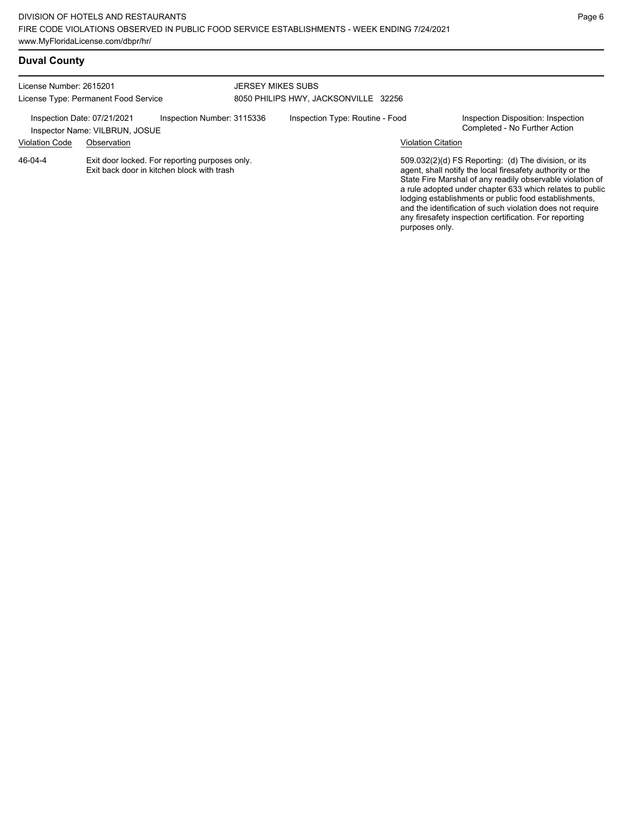| License Number: 2615201<br>License Type: Permanent Food Service |                                                                                              |                            | JERSEY MIKES SUBS<br>8050 PHILIPS HWY, JACKSONVILLE 32256 |                                 |                           |                                                                                                                                                                                                                                                                                                                                                                                                                              |  |
|-----------------------------------------------------------------|----------------------------------------------------------------------------------------------|----------------------------|-----------------------------------------------------------|---------------------------------|---------------------------|------------------------------------------------------------------------------------------------------------------------------------------------------------------------------------------------------------------------------------------------------------------------------------------------------------------------------------------------------------------------------------------------------------------------------|--|
| Inspection Date: 07/21/2021<br><b>Violation Code</b>            | Inspector Name: VILBRUN, JOSUE<br>Observation                                                | Inspection Number: 3115336 |                                                           | Inspection Type: Routine - Food | <b>Violation Citation</b> | Inspection Disposition: Inspection<br>Completed - No Further Action                                                                                                                                                                                                                                                                                                                                                          |  |
| 46-04-4                                                         | Exit door locked. For reporting purposes only.<br>Exit back door in kitchen block with trash |                            |                                                           |                                 | purposes only.            | $509.032(2)(d)$ FS Reporting: (d) The division, or its<br>agent, shall notify the local firesafety authority or the<br>State Fire Marshal of any readily observable violation of<br>a rule adopted under chapter 633 which relates to public<br>lodging establishments or public food establishments,<br>and the identification of such violation does not require<br>any firesafety inspection certification. For reporting |  |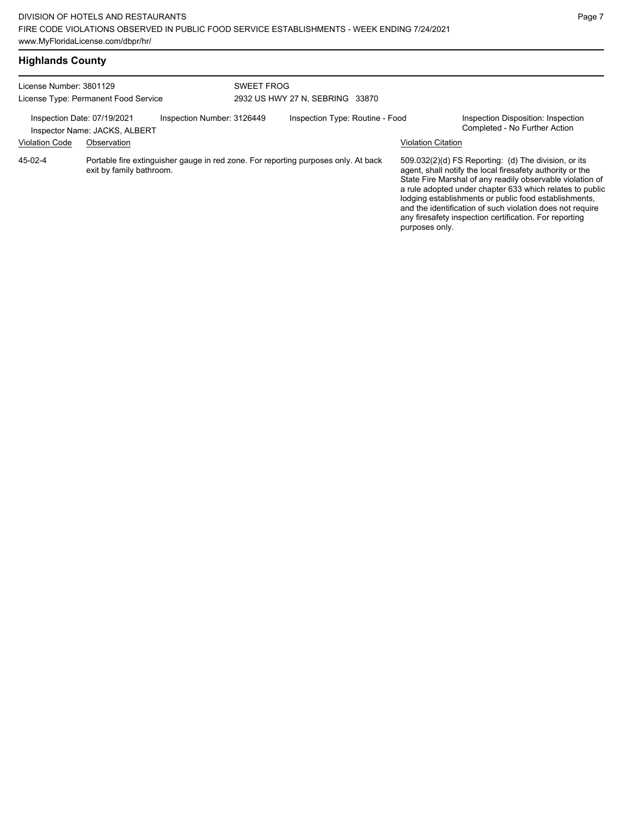| License Number: 3801129<br>License Type: Permanent Food Service                            |                          | SWEET FROG<br>2932 US HWY 27 N. SEBRING 33870                                      |                                 |  |  |                                                                                                                                                                                                                                                                                                                                                                                                                                              |
|--------------------------------------------------------------------------------------------|--------------------------|------------------------------------------------------------------------------------|---------------------------------|--|--|----------------------------------------------------------------------------------------------------------------------------------------------------------------------------------------------------------------------------------------------------------------------------------------------------------------------------------------------------------------------------------------------------------------------------------------------|
| Inspection Number: 3126449<br>Inspection Date: 07/19/2021<br>Inspector Name: JACKS, ALBERT |                          |                                                                                    | Inspection Type: Routine - Food |  |  | Inspection Disposition: Inspection<br>Completed - No Further Action                                                                                                                                                                                                                                                                                                                                                                          |
| <b>Violation Code</b>                                                                      | Observation              |                                                                                    |                                 |  |  | <b>Violation Citation</b>                                                                                                                                                                                                                                                                                                                                                                                                                    |
| 45-02-4                                                                                    | exit by family bathroom. | Portable fire extinguisher gauge in red zone. For reporting purposes only. At back |                                 |  |  | 509.032(2)(d) FS Reporting: (d) The division, or its<br>agent, shall notify the local firesafety authority or the<br>State Fire Marshal of any readily observable violation of<br>a rule adopted under chapter 633 which relates to public<br>lodging establishments or public food establishments,<br>and the identification of such violation does not require<br>any firesafety inspection certification. For reporting<br>purposes only. |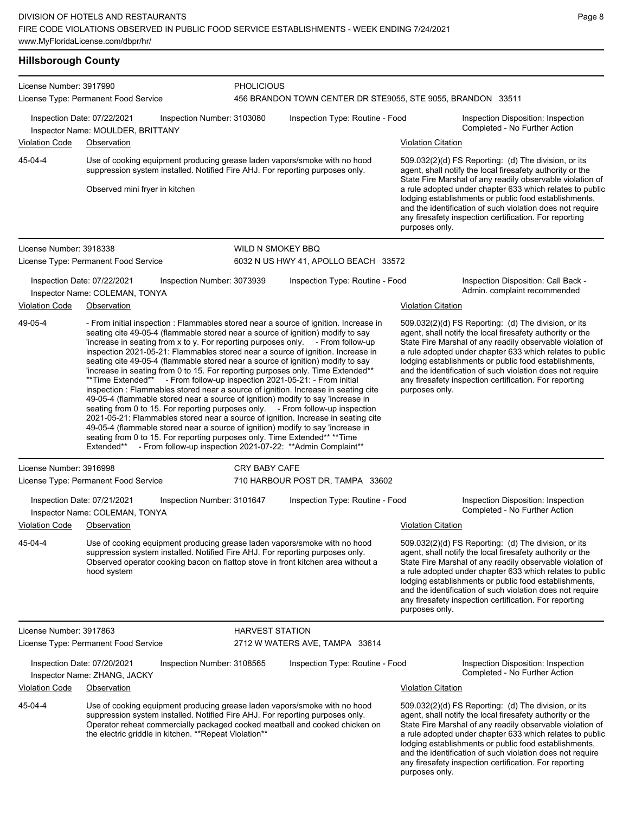# **Hillsborough County**

| License Number: 3917990<br>License Type: Permanent Food Service |                                                                              | <b>PHOLICIOUS</b><br>456 BRANDON TOWN CENTER DR STE9055, STE 9055, BRANDON 33511                                                                       |                        |                                                                                                                                                                                                                                                                                                                                                                                                                                                                                                                                                                                                                                                                                                                                                                                                                                                                                                                                                                                                                        |                           |                                                                                                                                                                                                                                                                                                                                                                                                                            |  |
|-----------------------------------------------------------------|------------------------------------------------------------------------------|--------------------------------------------------------------------------------------------------------------------------------------------------------|------------------------|------------------------------------------------------------------------------------------------------------------------------------------------------------------------------------------------------------------------------------------------------------------------------------------------------------------------------------------------------------------------------------------------------------------------------------------------------------------------------------------------------------------------------------------------------------------------------------------------------------------------------------------------------------------------------------------------------------------------------------------------------------------------------------------------------------------------------------------------------------------------------------------------------------------------------------------------------------------------------------------------------------------------|---------------------------|----------------------------------------------------------------------------------------------------------------------------------------------------------------------------------------------------------------------------------------------------------------------------------------------------------------------------------------------------------------------------------------------------------------------------|--|
|                                                                 | Inspection Date: 07/22/2021<br>Inspector Name: MOULDER, BRITTANY             | Inspection Number: 3103080                                                                                                                             |                        | Inspection Type: Routine - Food                                                                                                                                                                                                                                                                                                                                                                                                                                                                                                                                                                                                                                                                                                                                                                                                                                                                                                                                                                                        |                           | Inspection Disposition: Inspection<br>Completed - No Further Action                                                                                                                                                                                                                                                                                                                                                        |  |
| Violation Code                                                  | Observation                                                                  |                                                                                                                                                        |                        |                                                                                                                                                                                                                                                                                                                                                                                                                                                                                                                                                                                                                                                                                                                                                                                                                                                                                                                                                                                                                        | <b>Violation Citation</b> |                                                                                                                                                                                                                                                                                                                                                                                                                            |  |
| 45-04-4                                                         | Observed mini fryer in kitchen                                               |                                                                                                                                                        |                        | Use of cooking equipment producing grease laden vapors/smoke with no hood<br>suppression system installed. Notified Fire AHJ. For reporting purposes only.                                                                                                                                                                                                                                                                                                                                                                                                                                                                                                                                                                                                                                                                                                                                                                                                                                                             | purposes only.            | 509.032(2)(d) FS Reporting: (d) The division, or its<br>agent, shall notify the local firesafety authority or the<br>State Fire Marshal of any readily observable violation of<br>a rule adopted under chapter 633 which relates to public<br>lodging establishments or public food establishments,<br>and the identification of such violation does not require<br>any firesafety inspection certification. For reporting |  |
| License Number: 3918338                                         |                                                                              |                                                                                                                                                        | WILD N SMOKEY BBQ      |                                                                                                                                                                                                                                                                                                                                                                                                                                                                                                                                                                                                                                                                                                                                                                                                                                                                                                                                                                                                                        |                           |                                                                                                                                                                                                                                                                                                                                                                                                                            |  |
|                                                                 | License Type: Permanent Food Service                                         |                                                                                                                                                        |                        | 6032 N US HWY 41, APOLLO BEACH 33572                                                                                                                                                                                                                                                                                                                                                                                                                                                                                                                                                                                                                                                                                                                                                                                                                                                                                                                                                                                   |                           |                                                                                                                                                                                                                                                                                                                                                                                                                            |  |
| <b>Violation Code</b>                                           | Inspection Date: 07/22/2021<br>Inspector Name: COLEMAN, TONYA<br>Observation | Inspection Number: 3073939                                                                                                                             |                        | Inspection Type: Routine - Food                                                                                                                                                                                                                                                                                                                                                                                                                                                                                                                                                                                                                                                                                                                                                                                                                                                                                                                                                                                        | <b>Violation Citation</b> | Inspection Disposition: Call Back -<br>Admin. complaint recommended                                                                                                                                                                                                                                                                                                                                                        |  |
| 49-05-4                                                         | Extended**                                                                   | **Time Extended** - From follow-up inspection 2021-05-21: - From initial<br>seating from 0 to 15. For reporting purposes only. Time Extended** ** Time |                        | - From initial inspection : Flammables stored near a source of ignition. Increase in<br>seating cite 49-05-4 (flammable stored near a source of ignition) modify to say<br>'increase in seating from x to y. For reporting purposes only. - From follow-up<br>inspection 2021-05-21: Flammables stored near a source of ignition. Increase in<br>seating cite 49-05-4 (flammable stored near a source of ignition) modify to say<br>'increase in seating from 0 to 15. For reporting purposes only. Time Extended**<br>inspection : Flammables stored near a source of ignition. Increase in seating cite<br>49-05-4 (flammable stored near a source of ignition) modify to say 'increase in<br>seating from 0 to 15. For reporting purposes only. - From follow-up inspection<br>2021-05-21: Flammables stored near a source of ignition. Increase in seating cite<br>49-05-4 (flammable stored near a source of ignition) modify to say 'increase in<br>- From follow-up inspection 2021-07-22: ** Admin Complaint** | purposes only.            | 509.032(2)(d) FS Reporting: (d) The division, or its<br>agent, shall notify the local firesafety authority or the<br>State Fire Marshal of any readily observable violation of<br>a rule adopted under chapter 633 which relates to public<br>lodging establishments or public food establishments,<br>and the identification of such violation does not require<br>any firesafety inspection certification. For reporting |  |
| License Number: 3916998                                         |                                                                              |                                                                                                                                                        | <b>CRY BABY CAFE</b>   |                                                                                                                                                                                                                                                                                                                                                                                                                                                                                                                                                                                                                                                                                                                                                                                                                                                                                                                                                                                                                        |                           |                                                                                                                                                                                                                                                                                                                                                                                                                            |  |
|                                                                 | License Type: Permanent Food Service                                         |                                                                                                                                                        |                        | 710 HARBOUR POST DR, TAMPA 33602                                                                                                                                                                                                                                                                                                                                                                                                                                                                                                                                                                                                                                                                                                                                                                                                                                                                                                                                                                                       |                           |                                                                                                                                                                                                                                                                                                                                                                                                                            |  |
|                                                                 | Inspection Date: 07/21/2021<br>Inspector Name: COLEMAN, TONYA                | Inspection Number: 3101647                                                                                                                             |                        | Inspection Type: Routine - Food                                                                                                                                                                                                                                                                                                                                                                                                                                                                                                                                                                                                                                                                                                                                                                                                                                                                                                                                                                                        |                           | Inspection Disposition: Inspection<br>Completed - No Further Action                                                                                                                                                                                                                                                                                                                                                        |  |
| <b>Violation Code</b>                                           | Observation                                                                  |                                                                                                                                                        |                        |                                                                                                                                                                                                                                                                                                                                                                                                                                                                                                                                                                                                                                                                                                                                                                                                                                                                                                                                                                                                                        | <b>Violation Citation</b> |                                                                                                                                                                                                                                                                                                                                                                                                                            |  |
| 45-04-4                                                         | hood system                                                                  |                                                                                                                                                        |                        | Use of cooking equipment producing grease laden vapors/smoke with no hood<br>suppression system installed. Notified Fire AHJ. For reporting purposes only.<br>Observed operator cooking bacon on flattop stove in front kitchen area without a                                                                                                                                                                                                                                                                                                                                                                                                                                                                                                                                                                                                                                                                                                                                                                         | purposes only.            | 509.032(2)(d) FS Reporting: (d) The division, or its<br>agent, shall notify the local firesafety authority or the<br>State Fire Marshal of any readily observable violation of<br>a rule adopted under chapter 633 which relates to public<br>lodging establishments or public food establishments,<br>and the identification of such violation does not require<br>any firesafety inspection certification. For reporting |  |
| License Number: 3917863                                         |                                                                              |                                                                                                                                                        | <b>HARVEST STATION</b> |                                                                                                                                                                                                                                                                                                                                                                                                                                                                                                                                                                                                                                                                                                                                                                                                                                                                                                                                                                                                                        |                           |                                                                                                                                                                                                                                                                                                                                                                                                                            |  |
|                                                                 | License Type: Permanent Food Service                                         |                                                                                                                                                        |                        | 2712 W WATERS AVE, TAMPA 33614                                                                                                                                                                                                                                                                                                                                                                                                                                                                                                                                                                                                                                                                                                                                                                                                                                                                                                                                                                                         |                           |                                                                                                                                                                                                                                                                                                                                                                                                                            |  |
|                                                                 | Inspection Date: 07/20/2021<br>Inspector Name: ZHANG, JACKY                  | Inspection Number: 3108565                                                                                                                             |                        | Inspection Type: Routine - Food                                                                                                                                                                                                                                                                                                                                                                                                                                                                                                                                                                                                                                                                                                                                                                                                                                                                                                                                                                                        |                           | Inspection Disposition: Inspection<br>Completed - No Further Action                                                                                                                                                                                                                                                                                                                                                        |  |
| <b>Violation Code</b>                                           | Observation                                                                  |                                                                                                                                                        |                        |                                                                                                                                                                                                                                                                                                                                                                                                                                                                                                                                                                                                                                                                                                                                                                                                                                                                                                                                                                                                                        | <b>Violation Citation</b> |                                                                                                                                                                                                                                                                                                                                                                                                                            |  |
| 45-04-4                                                         |                                                                              | the electric griddle in kitchen. **Repeat Violation**                                                                                                  |                        | Use of cooking equipment producing grease laden vapors/smoke with no hood<br>suppression system installed. Notified Fire AHJ. For reporting purposes only.<br>Operator reheat commercially packaged cooked meatball and cooked chicken on                                                                                                                                                                                                                                                                                                                                                                                                                                                                                                                                                                                                                                                                                                                                                                              | purposes only.            | 509.032(2)(d) FS Reporting: (d) The division, or its<br>agent, shall notify the local firesafety authority or the<br>State Fire Marshal of any readily observable violation of<br>a rule adopted under chapter 633 which relates to public<br>lodging establishments or public food establishments,<br>and the identification of such violation does not require<br>any firesafety inspection certification. For reporting |  |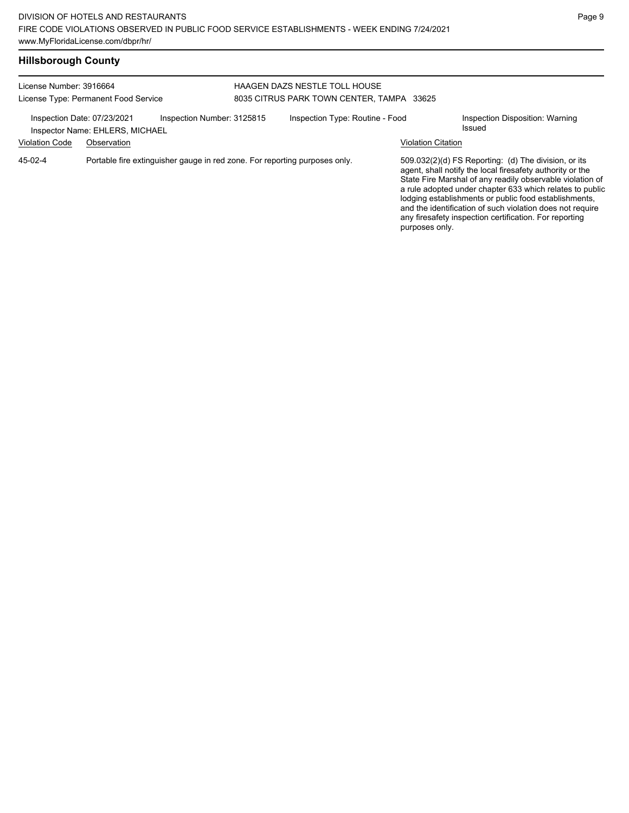| <b>Hillsborough County</b>                                      |                                                                                              |                                                                            |  |                                           |                                                                                                                                                                             |                                 |
|-----------------------------------------------------------------|----------------------------------------------------------------------------------------------|----------------------------------------------------------------------------|--|-------------------------------------------|-----------------------------------------------------------------------------------------------------------------------------------------------------------------------------|---------------------------------|
| License Number: 3916664<br>License Type: Permanent Food Service |                                                                                              | HAAGEN DAZS NESTLE TOLL HOUSE<br>8035 CITRUS PARK TOWN CENTER, TAMPA 33625 |  |                                           |                                                                                                                                                                             |                                 |
|                                                                 | Inspection Number: 3125815<br>Inspection Date: 07/23/2021<br>Inspector Name: EHLERS, MICHAEL |                                                                            |  | Inspection Type: Routine - Food<br>Issued |                                                                                                                                                                             | Inspection Disposition: Warning |
| <b>Violation Code</b>                                           | Observation                                                                                  |                                                                            |  |                                           |                                                                                                                                                                             | <b>Violation Citation</b>       |
| 45-02-4                                                         |                                                                                              | Portable fire extinguisher gauge in red zone. For reporting purposes only. |  |                                           | 509.032(2)(d) FS Reporting: (d) The division, or its<br>agent, shall notify the local firesafety authority or the<br>State Fire Marshal of any readily observable violation |                                 |

authority or the State Fire Marshal of any readily observable violation of a rule adopted under chapter 633 which relates to public lodging establishments or public food establishments, and the identification of such violation does not require any firesafety inspection certification. For reporting purposes only.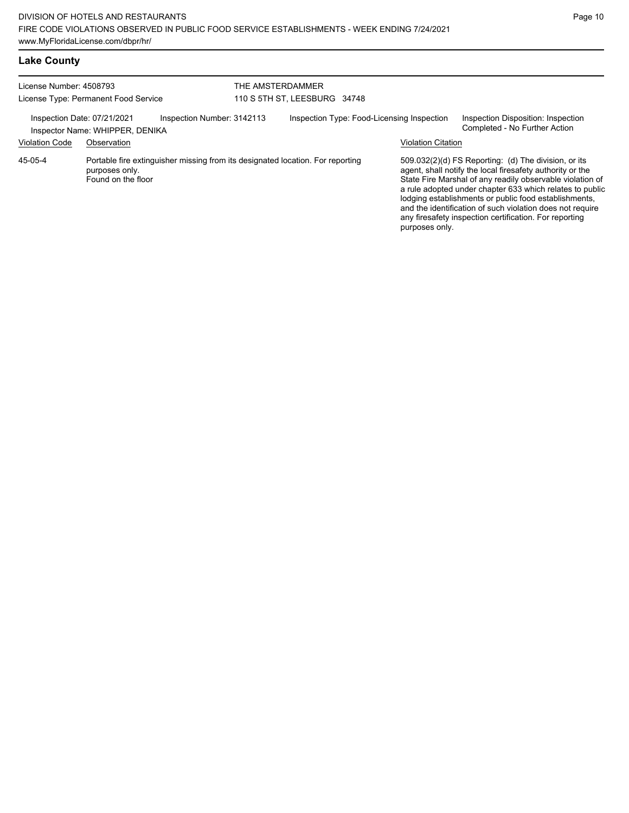| <b>Lake County</b>                   |                                 |                            |                                            |
|--------------------------------------|---------------------------------|----------------------------|--------------------------------------------|
| License Number: 4508793              |                                 |                            | THE AMSTERDAMMER                           |
| License Type: Permanent Food Service |                                 |                            | 110 S 5TH ST, LEESBURG 34748               |
| Inspection Date: 07/21/2021          |                                 | Inspection Number: 3142113 | Inspection Type: Food-Licensing Inspection |
|                                      | Inspector Name: WHIPPER, DENIKA |                            |                                            |
| <b>Violation Code</b>                | Observation                     |                            | Violation Citation                         |

Inspection Inspection Disposition: Inspection Completed - No Further Action

Portable fire extinguisher missing from its designated location. For reporting purposes only. Found on the floor 45-05-4

509.032(2)(d) FS Reporting: (d) The division, or its agent, shall notify the local firesafety authority or the State Fire Marshal of any readily observable violation of a rule adopted under chapter 633 which relates to public lodging establishments or public food establishments, and the identification of such violation does not require any firesafety inspection certification. For reporting purposes only.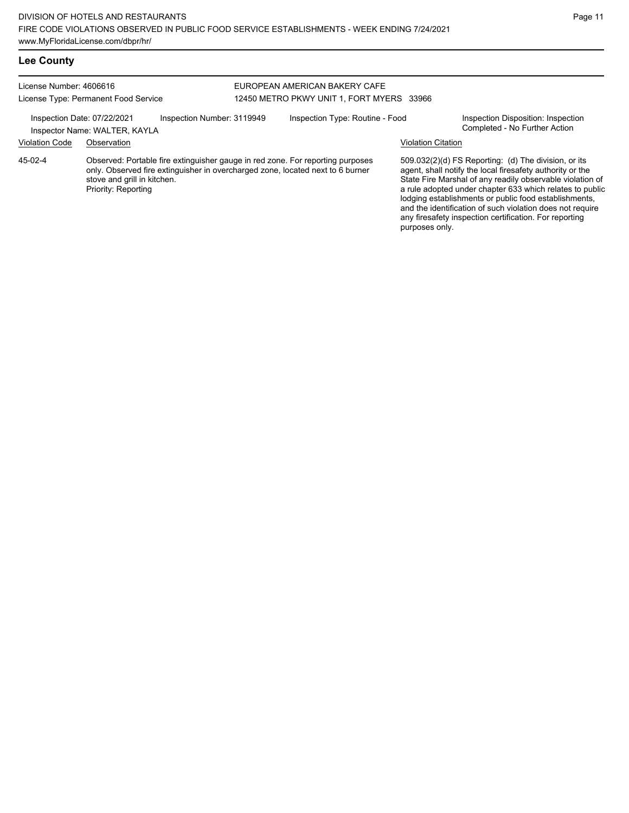License Number: 4606616 License Type: Permanent Food Service

#### EUROPEAN AMERICAN BAKERY CAFE 12450 METRO PKWY UNIT 1, FORT MYERS 33966

Inspection Date: 07/22/2021 Inspection Number: 3119949 Inspection Type: Routine - Food Inspection Disposition: Inspection<br>Inspector Name: WALTER KAYLA Inspector Name: WALTER, KAYLA Violation Code Observation Violation Citation

Observed: Portable fire extinguisher gauge in red zone. For reporting purposes only. Observed fire extinguisher in overcharged zone, located next to 6 burner stove and grill in kitchen. Priority: Reporting 45-02-4

509.032(2)(d) FS Reporting: (d) The division, or its agent, shall notify the local firesafety authority or the State Fire Marshal of any readily observable violation of a rule adopted under chapter 633 which relates to public lodging establishments or public food establishments, and the identification of such violation does not require any firesafety inspection certification. For reporting purposes only.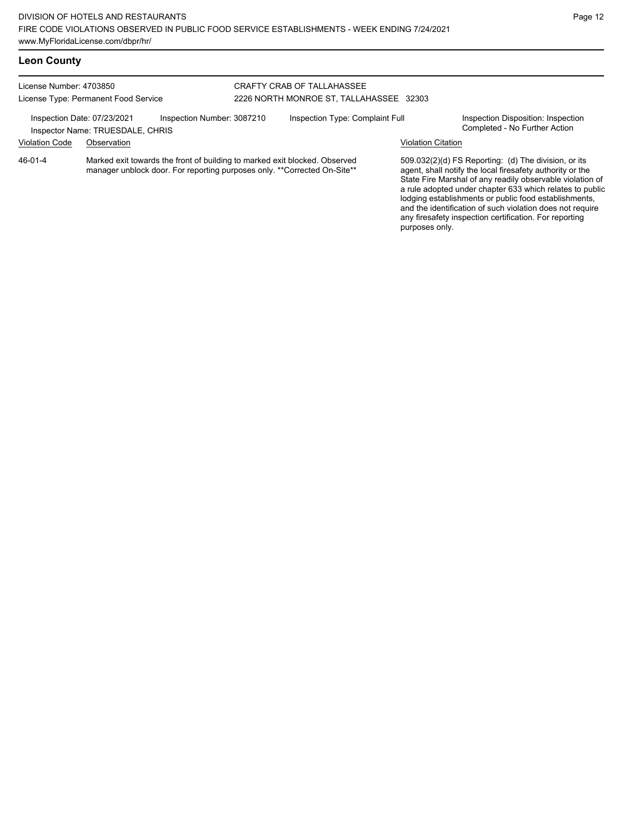and the identification of such violation does not require any firesafety inspection certification. For reporting

purposes only.

### **Leon County**

#### License Number: 4703850 License Type: Permanent Food Service CRAFTY CRAB OF TALLAHASSEE 2226 NORTH MONROE ST, TALLAHASSEE 32303 Inspection Date: 07/23/2021 Inspection Number: 3087210 Inspection Type: Complaint Full Inspection Disposition: Inspection<br>Inspector Name: TRUESDALE CHRIS Inspector Name: TRUESDALE, CHRIS Violation Code Observation Violation Citation Marked exit towards the front of building to marked exit blocked. Observed manager unblock door. For reporting purposes only. \*\*Corrected On-Site\*\* 509.032(2)(d) FS Reporting: (d) The division, or its agent, shall notify the local firesafety authority or the State Fire Marshal of any readily observable violation of a rule adopted under chapter 633 which relates to public lodging establishments or public food establishments, 46-01-4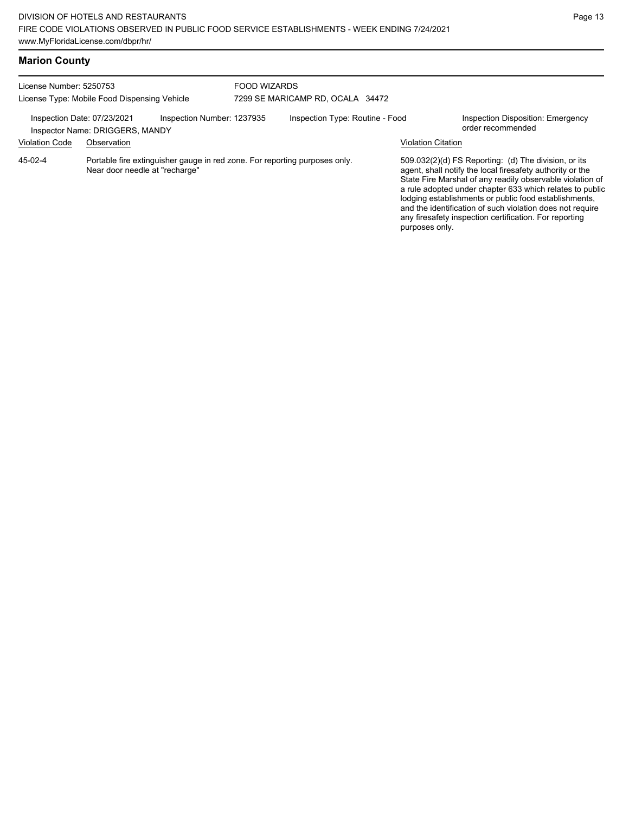| <b>Marion County</b>                                                    |                                                                                                              |                                                         |                           |                                                                                                                                                                                                                                                                                                                                                                                                                            |
|-------------------------------------------------------------------------|--------------------------------------------------------------------------------------------------------------|---------------------------------------------------------|---------------------------|----------------------------------------------------------------------------------------------------------------------------------------------------------------------------------------------------------------------------------------------------------------------------------------------------------------------------------------------------------------------------------------------------------------------------|
| License Number: 5250753<br>License Type: Mobile Food Dispensing Vehicle |                                                                                                              | <b>FOOD WIZARDS</b><br>7299 SE MARICAMP RD, OCALA 34472 |                           |                                                                                                                                                                                                                                                                                                                                                                                                                            |
|                                                                         | Inspection Number: 1237935<br>Inspection Date: 07/23/2021<br>Inspector Name: DRIGGERS, MANDY                 | Inspection Type: Routine - Food                         |                           | <b>Inspection Disposition: Emergency</b><br>order recommended                                                                                                                                                                                                                                                                                                                                                              |
| <b>Violation Code</b>                                                   | Observation                                                                                                  |                                                         | <b>Violation Citation</b> |                                                                                                                                                                                                                                                                                                                                                                                                                            |
| 45-02-4                                                                 | Portable fire extinguisher gauge in red zone. For reporting purposes only.<br>Near door needle at "recharge" |                                                         |                           | 509.032(2)(d) FS Reporting: (d) The division, or its<br>agent, shall notify the local firesafety authority or the<br>State Fire Marshal of any readily observable violation of<br>a rule adopted under chapter 633 which relates to public<br>lodging establishments or public food establishments,<br>and the identification of such violation does not require<br>any firesafety inspection certification. For reporting |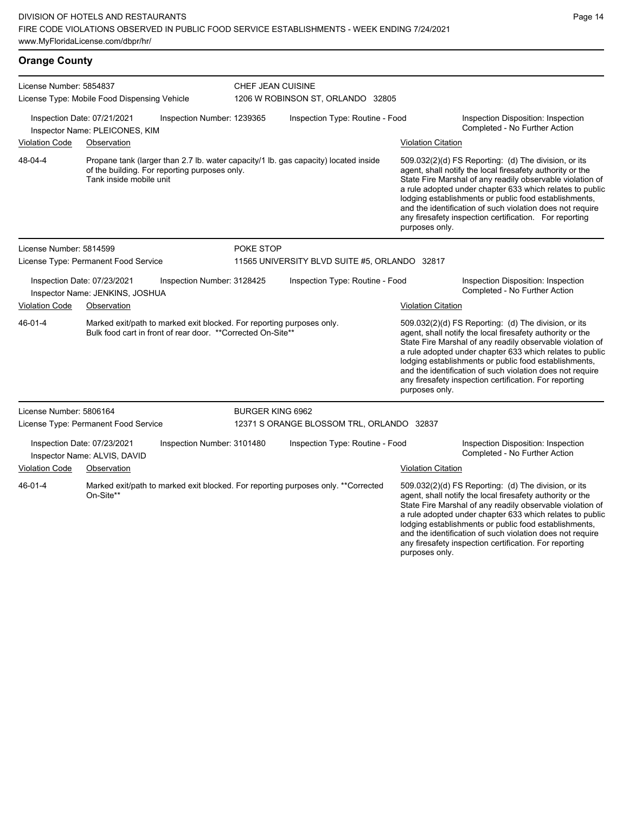| License Number: 5854837 |                                                                                                                                                                 |                            |           | <b>CHEF JEAN CUISINE</b>                      |                                                                                                                                                                                                                                                                                                                                                                                                                                              |                                                                     |  |  |
|-------------------------|-----------------------------------------------------------------------------------------------------------------------------------------------------------------|----------------------------|-----------|-----------------------------------------------|----------------------------------------------------------------------------------------------------------------------------------------------------------------------------------------------------------------------------------------------------------------------------------------------------------------------------------------------------------------------------------------------------------------------------------------------|---------------------------------------------------------------------|--|--|
|                         | License Type: Mobile Food Dispensing Vehicle                                                                                                                    |                            |           | 1206 W ROBINSON ST, ORLANDO 32805             |                                                                                                                                                                                                                                                                                                                                                                                                                                              |                                                                     |  |  |
|                         | Inspection Date: 07/21/2021<br>Inspector Name: PLEICONES, KIM                                                                                                   | Inspection Number: 1239365 |           | Inspection Type: Routine - Food               |                                                                                                                                                                                                                                                                                                                                                                                                                                              | Inspection Disposition: Inspection<br>Completed - No Further Action |  |  |
| <b>Violation Code</b>   | Observation                                                                                                                                                     |                            |           |                                               | <b>Violation Citation</b>                                                                                                                                                                                                                                                                                                                                                                                                                    |                                                                     |  |  |
| $48 - 04 - 4$           | Propane tank (larger than 2.7 lb. water capacity/1 lb. gas capacity) located inside<br>of the building. For reporting purposes only.<br>Tank inside mobile unit |                            |           |                                               | 509.032(2)(d) FS Reporting: (d) The division, or its<br>agent, shall notify the local firesafety authority or the<br>State Fire Marshal of any readily observable violation of<br>a rule adopted under chapter 633 which relates to public<br>lodging establishments or public food establishments,<br>and the identification of such violation does not require<br>any firesafety inspection certification. For reporting<br>purposes only. |                                                                     |  |  |
| License Number: 5814599 |                                                                                                                                                                 |                            | POKE STOP |                                               |                                                                                                                                                                                                                                                                                                                                                                                                                                              |                                                                     |  |  |
|                         | License Type: Permanent Food Service                                                                                                                            |                            |           | 11565 UNIVERSITY BLVD SUITE #5, ORLANDO 32817 |                                                                                                                                                                                                                                                                                                                                                                                                                                              |                                                                     |  |  |
|                         | Inspection Date: 07/23/2021<br>Inspector Name: JENKINS, JOSHUA                                                                                                  | Inspection Number: 3128425 |           | Inspection Type: Routine - Food               |                                                                                                                                                                                                                                                                                                                                                                                                                                              | Inspection Disposition: Inspection<br>Completed - No Further Action |  |  |
| <b>Violation Code</b>   | Observation                                                                                                                                                     |                            |           |                                               | <b>Violation Citation</b>                                                                                                                                                                                                                                                                                                                                                                                                                    |                                                                     |  |  |

Marked exit/path to marked exit blocked. For reporting purposes only. Bulk food cart in front of rear door. \*\*Corrected On-Site\*\* 46-01-4

**Orange County**

ation Citation 509.032(2)(d) FS Reporting: (d) The division, or its agent, shall notify the local firesafety authority or the State Fire Marshal of any readily observable violation of a rule adopted under chapter 633 which relates to public lodging establishments or public food establishments, and the identification of such violation does not require any firesafety inspection certification. For reporting purposes only.

purposes only.

| License Number: 5806164<br>License Type: Permanent Food Service                           |             |  | BURGER KING 6962<br>12371 S ORANGE BLOSSOM TRL. ORLANDO 32837 |                                                                                   |                                                                     |                                                                                                                                                                                                                                                                                                                                                                                                                            |  |
|-------------------------------------------------------------------------------------------|-------------|--|---------------------------------------------------------------|-----------------------------------------------------------------------------------|---------------------------------------------------------------------|----------------------------------------------------------------------------------------------------------------------------------------------------------------------------------------------------------------------------------------------------------------------------------------------------------------------------------------------------------------------------------------------------------------------------|--|
| Inspection Number: 3101480<br>Inspection Date: 07/23/2021<br>Inspector Name: ALVIS, DAVID |             |  | Inspection Type: Routine - Food                               |                                                                                   | Inspection Disposition: Inspection<br>Completed - No Further Action |                                                                                                                                                                                                                                                                                                                                                                                                                            |  |
| <b>Violation Code</b>                                                                     | Observation |  |                                                               |                                                                                   | <b>Violation Citation</b>                                           |                                                                                                                                                                                                                                                                                                                                                                                                                            |  |
| 46-01-4                                                                                   | On-Site**   |  |                                                               | Marked exit/path to marked exit blocked. For reporting purposes only. **Corrected |                                                                     | 509.032(2)(d) FS Reporting: (d) The division, or its<br>agent, shall notify the local firesafety authority or the<br>State Fire Marshal of any readily observable violation of<br>a rule adopted under chapter 633 which relates to public<br>lodging establishments or public food establishments,<br>and the identification of such violation does not require<br>any firesafety inspection certification. For reporting |  |

Page 14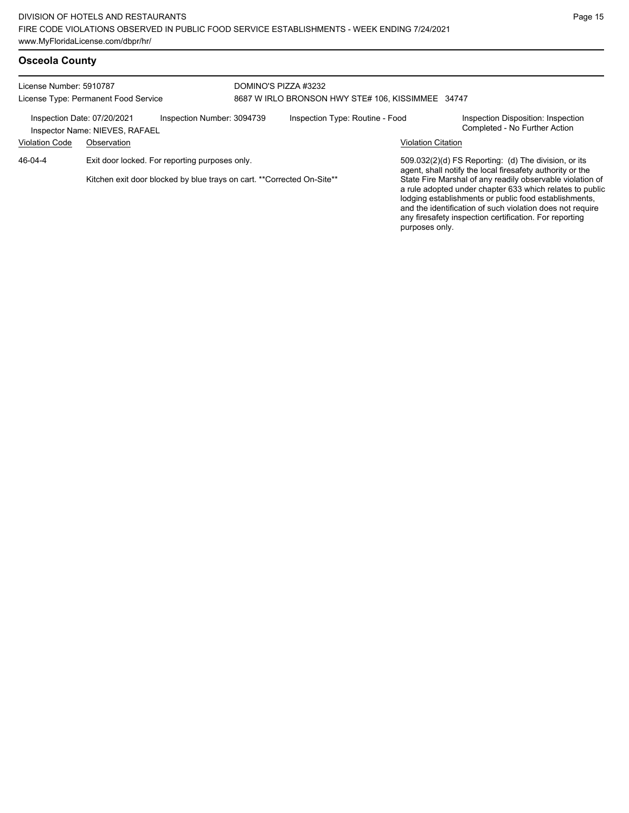| License Number: 5910787<br>License Type: Permanent Food Service                             |                                                                        | DOMINO'S PIZZA #3232<br>8687 W IRLO BRONSON HWY STE# 106, KISSIMMEE 34747 |  |  |                                                                     |                                                                                                                                                                                                                                                                                                                         |  |  |
|---------------------------------------------------------------------------------------------|------------------------------------------------------------------------|---------------------------------------------------------------------------|--|--|---------------------------------------------------------------------|-------------------------------------------------------------------------------------------------------------------------------------------------------------------------------------------------------------------------------------------------------------------------------------------------------------------------|--|--|
| Inspection Number: 3094739<br>Inspection Date: 07/20/2021<br>Inspector Name: NIEVES, RAFAEL |                                                                        | Inspection Type: Routine - Food                                           |  |  | Inspection Disposition: Inspection<br>Completed - No Further Action |                                                                                                                                                                                                                                                                                                                         |  |  |
| <b>Violation Code</b>                                                                       | Observation                                                            |                                                                           |  |  |                                                                     | <b>Violation Citation</b>                                                                                                                                                                                                                                                                                               |  |  |
| $46 - 04 - 4$                                                                               | Exit door locked. For reporting purposes only.                         |                                                                           |  |  |                                                                     | 509.032(2)(d) FS Reporting: (d) The division, or its<br>agent, shall notify the local firesafety authority or the                                                                                                                                                                                                       |  |  |
|                                                                                             | Kitchen exit door blocked by blue trays on cart. **Corrected On-Site** |                                                                           |  |  |                                                                     | State Fire Marshal of any readily observable violation of<br>a rule adopted under chapter 633 which relates to public<br>lodging establishments or public food establishments,<br>and the identification of such violation does not require<br>any firesafety inspection certification. For reporting<br>purposes only. |  |  |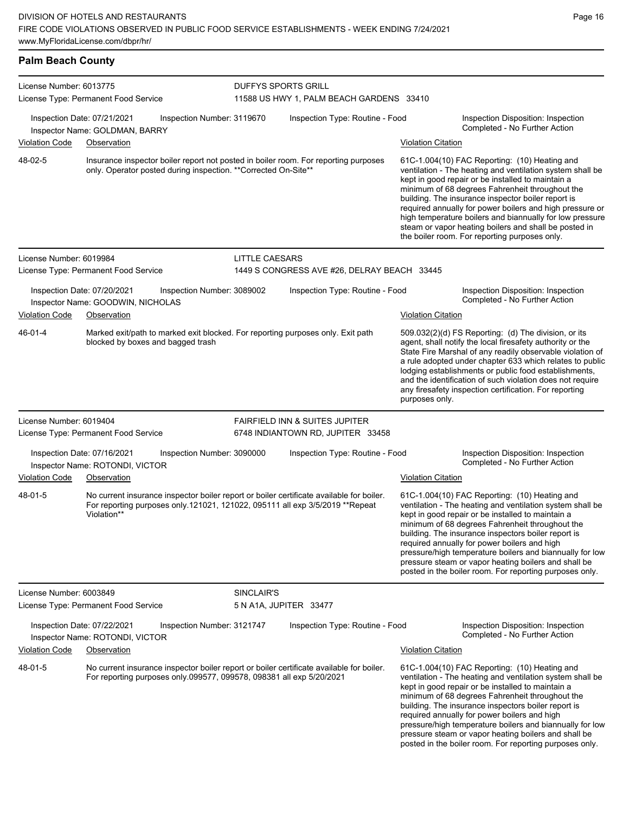| <b>Palm Beach County</b> |                                                                                                                                                                                          |                |                                                                                |                                                                                                                                                                                                                                                                                                                                                                                                                                                                                                            |                                                                                                                                                                                                                                                                                                                                                                                                                                                                                                          |  |
|--------------------------|------------------------------------------------------------------------------------------------------------------------------------------------------------------------------------------|----------------|--------------------------------------------------------------------------------|------------------------------------------------------------------------------------------------------------------------------------------------------------------------------------------------------------------------------------------------------------------------------------------------------------------------------------------------------------------------------------------------------------------------------------------------------------------------------------------------------------|----------------------------------------------------------------------------------------------------------------------------------------------------------------------------------------------------------------------------------------------------------------------------------------------------------------------------------------------------------------------------------------------------------------------------------------------------------------------------------------------------------|--|
| License Number: 6013775  | License Type: Permanent Food Service                                                                                                                                                     |                | <b>DUFFYS SPORTS GRILL</b><br>11588 US HWY 1, PALM BEACH GARDENS 33410         |                                                                                                                                                                                                                                                                                                                                                                                                                                                                                                            |                                                                                                                                                                                                                                                                                                                                                                                                                                                                                                          |  |
| <b>Violation Code</b>    | Inspection Date: 07/21/2021<br>Inspection Number: 3119670<br>Inspector Name: GOLDMAN, BARRY<br>Observation                                                                               |                | Inspection Type: Routine - Food                                                | <b>Violation Citation</b>                                                                                                                                                                                                                                                                                                                                                                                                                                                                                  | Inspection Disposition: Inspection<br>Completed - No Further Action                                                                                                                                                                                                                                                                                                                                                                                                                                      |  |
| 48-02-5                  | Insurance inspector boiler report not posted in boiler room. For reporting purposes<br>only. Operator posted during inspection. ** Corrected On-Site**                                   |                |                                                                                | 61C-1.004(10) FAC Reporting: (10) Heating and<br>ventilation - The heating and ventilation system shall be<br>kept in good repair or be installed to maintain a<br>minimum of 68 degrees Fahrenheit throughout the<br>building. The insurance inspector boiler report is<br>required annually for power boilers and high pressure or<br>high temperature boilers and biannually for low pressure<br>steam or vapor heating boilers and shall be posted in<br>the boiler room. For reporting purposes only. |                                                                                                                                                                                                                                                                                                                                                                                                                                                                                                          |  |
| License Number: 6019984  |                                                                                                                                                                                          | LITTLE CAESARS |                                                                                |                                                                                                                                                                                                                                                                                                                                                                                                                                                                                                            |                                                                                                                                                                                                                                                                                                                                                                                                                                                                                                          |  |
|                          | License Type: Permanent Food Service                                                                                                                                                     |                | 1449 S CONGRESS AVE #26, DELRAY BEACH 33445                                    |                                                                                                                                                                                                                                                                                                                                                                                                                                                                                                            |                                                                                                                                                                                                                                                                                                                                                                                                                                                                                                          |  |
|                          | Inspection Date: 07/20/2021<br>Inspection Number: 3089002<br>Inspector Name: GOODWIN, NICHOLAS                                                                                           |                | Inspection Type: Routine - Food                                                |                                                                                                                                                                                                                                                                                                                                                                                                                                                                                                            | Inspection Disposition: Inspection<br>Completed - No Further Action                                                                                                                                                                                                                                                                                                                                                                                                                                      |  |
| <b>Violation Code</b>    | Observation                                                                                                                                                                              |                |                                                                                | <b>Violation Citation</b>                                                                                                                                                                                                                                                                                                                                                                                                                                                                                  |                                                                                                                                                                                                                                                                                                                                                                                                                                                                                                          |  |
| 46-01-4                  | Marked exit/path to marked exit blocked. For reporting purposes only. Exit path<br>blocked by boxes and bagged trash                                                                     |                |                                                                                | purposes only.                                                                                                                                                                                                                                                                                                                                                                                                                                                                                             | 509.032(2)(d) FS Reporting: (d) The division, or its<br>agent, shall notify the local firesafety authority or the<br>State Fire Marshal of any readily observable violation of<br>a rule adopted under chapter 633 which relates to public<br>lodging establishments or public food establishments,<br>and the identification of such violation does not require<br>any firesafety inspection certification. For reporting                                                                               |  |
| License Number: 6019404  | License Type: Permanent Food Service                                                                                                                                                     |                | <b>FAIRFIELD INN &amp; SUITES JUPITER</b><br>6748 INDIANTOWN RD, JUPITER 33458 |                                                                                                                                                                                                                                                                                                                                                                                                                                                                                                            |                                                                                                                                                                                                                                                                                                                                                                                                                                                                                                          |  |
|                          | Inspection Date: 07/16/2021<br>Inspection Number: 3090000<br>Inspector Name: ROTONDI, VICTOR                                                                                             |                | Inspection Type: Routine - Food                                                |                                                                                                                                                                                                                                                                                                                                                                                                                                                                                                            | Inspection Disposition: Inspection<br>Completed - No Further Action                                                                                                                                                                                                                                                                                                                                                                                                                                      |  |
| <b>Violation Code</b>    | Observation                                                                                                                                                                              |                |                                                                                | <b>Violation Citation</b>                                                                                                                                                                                                                                                                                                                                                                                                                                                                                  |                                                                                                                                                                                                                                                                                                                                                                                                                                                                                                          |  |
| 48-01-5                  | No current insurance inspector boiler report or boiler certificate available for boiler.<br>For reporting purposes only 121021, 121022, 095111 all exp 3/5/2019 ** Repeat<br>Violation** |                |                                                                                |                                                                                                                                                                                                                                                                                                                                                                                                                                                                                                            | 61C-1.004(10) FAC Reporting: (10) Heating and<br>ventilation - The heating and ventilation system shall be<br>kept in good repair or be installed to maintain a<br>minimum of 68 degrees Fahrenheit throughout the<br>building. The insurance inspectors boiler report is<br>required annually for power boilers and high<br>pressure/high temperature boilers and biannually for low<br>pressure steam or vapor heating boilers and shall be<br>posted in the boiler room. For reporting purposes only. |  |
| License Number: 6003849  |                                                                                                                                                                                          | SINCLAIR'S     |                                                                                |                                                                                                                                                                                                                                                                                                                                                                                                                                                                                                            |                                                                                                                                                                                                                                                                                                                                                                                                                                                                                                          |  |
|                          | License Type: Permanent Food Service                                                                                                                                                     |                | 5 N A1A, JUPITER 33477                                                         |                                                                                                                                                                                                                                                                                                                                                                                                                                                                                                            |                                                                                                                                                                                                                                                                                                                                                                                                                                                                                                          |  |
|                          | Inspection Date: 07/22/2021<br>Inspection Number: 3121747<br>Inspector Name: ROTONDI, VICTOR                                                                                             |                | Inspection Type: Routine - Food                                                |                                                                                                                                                                                                                                                                                                                                                                                                                                                                                                            | Inspection Disposition: Inspection<br>Completed - No Further Action                                                                                                                                                                                                                                                                                                                                                                                                                                      |  |
| <b>Violation Code</b>    | Observation                                                                                                                                                                              |                |                                                                                | <b>Violation Citation</b>                                                                                                                                                                                                                                                                                                                                                                                                                                                                                  |                                                                                                                                                                                                                                                                                                                                                                                                                                                                                                          |  |
| 48-01-5                  | No current insurance inspector boiler report or boiler certificate available for boiler.<br>For reporting purposes only 099577, 099578, 098381 all exp 5/20/2021                         |                |                                                                                |                                                                                                                                                                                                                                                                                                                                                                                                                                                                                                            | 61C-1.004(10) FAC Reporting: (10) Heating and<br>ventilation - The heating and ventilation system shall be<br>kept in good repair or be installed to maintain a<br>minimum of 68 degrees Fahrenheit throughout the<br>building. The insurance inspectors boiler report is<br>required annually for power boilers and high<br>pressure/high temperature boilers and biannually for low<br>pressure steam or vapor heating boilers and shall be<br>posted in the boiler room. For reporting purposes only. |  |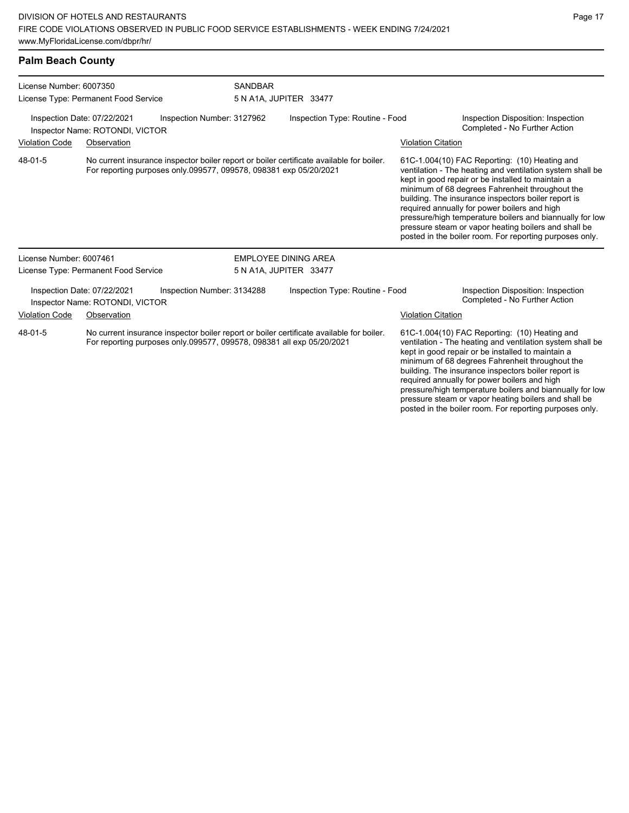Inspector Name: ROTONDI, VICTOR

Page 17

pressure steam or vapor heating boilers and shall be posted in the boiler room. For reporting purposes only.

| Violation Code          | Observation                                                                                                                                                       |                            |                                 | <b>Violation Citation</b> |                                                                                                                                                                                                                                                                                                                                                                                                                                                                                                          |  |  |
|-------------------------|-------------------------------------------------------------------------------------------------------------------------------------------------------------------|----------------------------|---------------------------------|---------------------------|----------------------------------------------------------------------------------------------------------------------------------------------------------------------------------------------------------------------------------------------------------------------------------------------------------------------------------------------------------------------------------------------------------------------------------------------------------------------------------------------------------|--|--|
| 48-01-5                 | No current insurance inspector boiler report or boiler certificate available for boiler.<br>For reporting purposes only 099577, 099578, 098381 exp 05/20/2021     |                            |                                 |                           | 61C-1.004(10) FAC Reporting: (10) Heating and<br>ventilation - The heating and ventilation system shall be<br>kept in good repair or be installed to maintain a<br>minimum of 68 degrees Fahrenheit throughout the<br>building. The insurance inspectors boiler report is<br>required annually for power boilers and high<br>pressure/high temperature boilers and biannually for low<br>pressure steam or vapor heating boilers and shall be<br>posted in the boiler room. For reporting purposes only. |  |  |
| License Number: 6007461 |                                                                                                                                                                   |                            | <b>EMPLOYEE DINING AREA</b>     |                           |                                                                                                                                                                                                                                                                                                                                                                                                                                                                                                          |  |  |
|                         | License Type: Permanent Food Service                                                                                                                              |                            | 5 N A1A, JUPITER 33477          |                           |                                                                                                                                                                                                                                                                                                                                                                                                                                                                                                          |  |  |
|                         | Inspection Date: 07/22/2021<br>Inspector Name: ROTONDI, VICTOR                                                                                                    | Inspection Number: 3134288 | Inspection Type: Routine - Food |                           | Inspection Disposition: Inspection<br>Completed - No Further Action                                                                                                                                                                                                                                                                                                                                                                                                                                      |  |  |
| <b>Violation Code</b>   | Observation                                                                                                                                                       |                            |                                 | <b>Violation Citation</b> |                                                                                                                                                                                                                                                                                                                                                                                                                                                                                                          |  |  |
| 48-01-5                 | No current insurance inspector boiler report or boiler certificate available for boiler.<br>For reporting purposes only 099577, 099578, 098381 all exp 05/20/2021 |                            |                                 |                           | 61C-1.004(10) FAC Reporting: (10) Heating and<br>ventilation - The heating and ventilation system shall be<br>kept in good repair or be installed to maintain a<br>minimum of 68 degrees Fahrenheit throughout the<br>building. The insurance inspectors boiler report is<br>required annually for power boilers and high<br>pressure/high temperature boilers and biannually for low                                                                                                                    |  |  |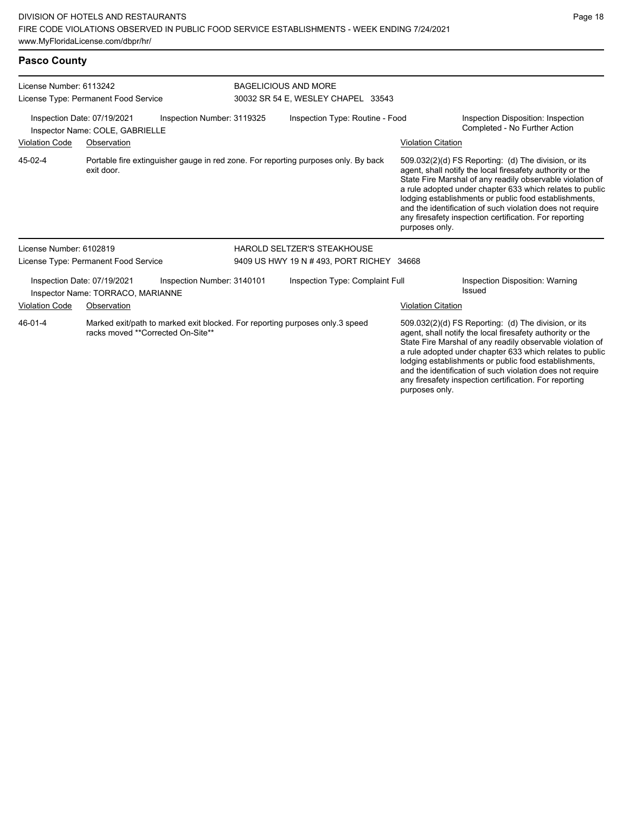| <b>Pasco County</b>                                                                                                          |                                                                  |                                                                   |                                           |                                                                                    |                                                                     |                                                                                                                                                                                |                                                                                                                                                                                                                                                                                                                                                                                                                            |
|------------------------------------------------------------------------------------------------------------------------------|------------------------------------------------------------------|-------------------------------------------------------------------|-------------------------------------------|------------------------------------------------------------------------------------|---------------------------------------------------------------------|--------------------------------------------------------------------------------------------------------------------------------------------------------------------------------|----------------------------------------------------------------------------------------------------------------------------------------------------------------------------------------------------------------------------------------------------------------------------------------------------------------------------------------------------------------------------------------------------------------------------|
| License Number: 6113242<br>License Type: Permanent Food Service                                                              |                                                                  | <b>BAGELICIOUS AND MORE</b><br>30032 SR 54 E, WESLEY CHAPEL 33543 |                                           |                                                                                    |                                                                     |                                                                                                                                                                                |                                                                                                                                                                                                                                                                                                                                                                                                                            |
| Inspection Date: 07/19/2021<br>Inspection Number: 3119325<br>Inspector Name: COLE, GABRIELLE                                 |                                                                  |                                                                   | Inspection Type: Routine - Food           |                                                                                    | Inspection Disposition: Inspection<br>Completed - No Further Action |                                                                                                                                                                                |                                                                                                                                                                                                                                                                                                                                                                                                                            |
| <b>Violation Code</b>                                                                                                        | Observation                                                      |                                                                   |                                           |                                                                                    |                                                                     | <b>Violation Citation</b>                                                                                                                                                      |                                                                                                                                                                                                                                                                                                                                                                                                                            |
| 45-02-4                                                                                                                      | exit door.                                                       |                                                                   |                                           | Portable fire extinguisher gauge in red zone. For reporting purposes only. By back |                                                                     | purposes only.                                                                                                                                                                 | 509.032(2)(d) FS Reporting: (d) The division, or its<br>agent, shall notify the local firesafety authority or the<br>State Fire Marshal of any readily observable violation of<br>a rule adopted under chapter 633 which relates to public<br>lodging establishments or public food establishments,<br>and the identification of such violation does not require<br>any firesafety inspection certification. For reporting |
| License Number: 6102819                                                                                                      |                                                                  |                                                                   |                                           | HAROLD SELTZER'S STEAKHOUSE                                                        |                                                                     |                                                                                                                                                                                |                                                                                                                                                                                                                                                                                                                                                                                                                            |
|                                                                                                                              | License Type: Permanent Food Service                             |                                                                   | 9409 US HWY 19 N # 493, PORT RICHEY 34668 |                                                                                    |                                                                     |                                                                                                                                                                                |                                                                                                                                                                                                                                                                                                                                                                                                                            |
|                                                                                                                              | Inspection Date: 07/19/2021<br>Inspector Name: TORRACO, MARIANNE | Inspection Number: 3140101                                        |                                           | Inspection Type: Complaint Full                                                    |                                                                     |                                                                                                                                                                                | Inspection Disposition: Warning<br>Issued                                                                                                                                                                                                                                                                                                                                                                                  |
| <b>Violation Code</b>                                                                                                        | Observation                                                      |                                                                   |                                           |                                                                                    |                                                                     | <b>Violation Citation</b>                                                                                                                                                      |                                                                                                                                                                                                                                                                                                                                                                                                                            |
| 46-01-4<br>Marked exit/path to marked exit blocked. For reporting purposes only 3 speed<br>racks moved **Corrected On-Site** |                                                                  |                                                                   |                                           |                                                                                    |                                                                     | 509.032(2)(d) FS Reporting: (d) The division, or its<br>agent, shall notify the local firesafety authority or the<br>State Fire Marshal of any readily observable violation of |                                                                                                                                                                                                                                                                                                                                                                                                                            |

State Fire Marshal of any readily observable violation of a rule adopted under chapter 633 which relates to public lodging establishments or public food establishments, and the identification of such violation does not require any firesafety inspection certification. For reporting purposes only.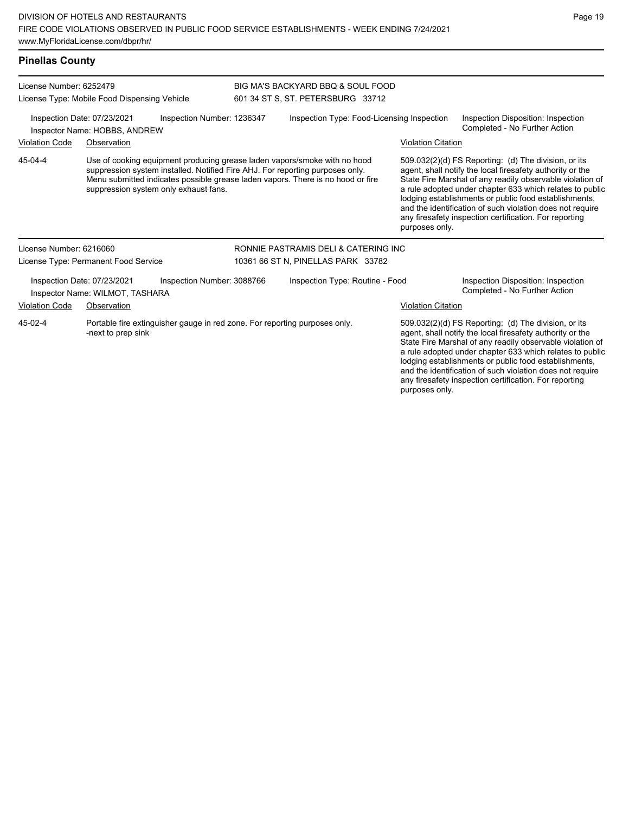| <b>Pinellas County</b>                                                                                      |                                                                                                                                                                                                                                                                                        |  |                                                                                                                                                                                                                                                                                                                                                                                                                                              |                           |                                                                                                                                                                                |  |  |
|-------------------------------------------------------------------------------------------------------------|----------------------------------------------------------------------------------------------------------------------------------------------------------------------------------------------------------------------------------------------------------------------------------------|--|----------------------------------------------------------------------------------------------------------------------------------------------------------------------------------------------------------------------------------------------------------------------------------------------------------------------------------------------------------------------------------------------------------------------------------------------|---------------------------|--------------------------------------------------------------------------------------------------------------------------------------------------------------------------------|--|--|
| License Number: 6252479                                                                                     |                                                                                                                                                                                                                                                                                        |  | BIG MA'S BACKYARD BBQ & SOUL FOOD                                                                                                                                                                                                                                                                                                                                                                                                            |                           |                                                                                                                                                                                |  |  |
|                                                                                                             | License Type: Mobile Food Dispensing Vehicle                                                                                                                                                                                                                                           |  | 601 34 ST S, ST. PETERSBURG 33712                                                                                                                                                                                                                                                                                                                                                                                                            |                           |                                                                                                                                                                                |  |  |
|                                                                                                             | Inspection Number: 1236347<br>Inspection Date: 07/23/2021<br>Inspector Name: HOBBS, ANDREW                                                                                                                                                                                             |  | Inspection Type: Food-Licensing Inspection                                                                                                                                                                                                                                                                                                                                                                                                   |                           | Inspection Disposition: Inspection<br>Completed - No Further Action                                                                                                            |  |  |
| <b>Violation Code</b>                                                                                       | Observation                                                                                                                                                                                                                                                                            |  |                                                                                                                                                                                                                                                                                                                                                                                                                                              | <b>Violation Citation</b> |                                                                                                                                                                                |  |  |
| 45-04-4                                                                                                     | Use of cooking equipment producing grease laden vapors/smoke with no hood<br>suppression system installed. Notified Fire AHJ. For reporting purposes only.<br>Menu submitted indicates possible grease laden vapors. There is no hood or fire<br>suppression system only exhaust fans. |  | 509.032(2)(d) FS Reporting: (d) The division, or its<br>agent, shall notify the local firesafety authority or the<br>State Fire Marshal of any readily observable violation of<br>a rule adopted under chapter 633 which relates to public<br>lodging establishments or public food establishments,<br>and the identification of such violation does not require<br>any firesafety inspection certification. For reporting<br>purposes only. |                           |                                                                                                                                                                                |  |  |
| License Number: 6216060                                                                                     |                                                                                                                                                                                                                                                                                        |  | RONNIE PASTRAMIS DELI & CATERING INC                                                                                                                                                                                                                                                                                                                                                                                                         |                           |                                                                                                                                                                                |  |  |
|                                                                                                             | License Type: Permanent Food Service                                                                                                                                                                                                                                                   |  | 10361 66 ST N, PINELLAS PARK 33782                                                                                                                                                                                                                                                                                                                                                                                                           |                           |                                                                                                                                                                                |  |  |
|                                                                                                             | Inspection Number: 3088766<br>Inspection Date: 07/23/2021<br>Inspector Name: WILMOT, TASHARA                                                                                                                                                                                           |  | Inspection Type: Routine - Food                                                                                                                                                                                                                                                                                                                                                                                                              |                           | Inspection Disposition: Inspection<br>Completed - No Further Action                                                                                                            |  |  |
| <b>Violation Code</b>                                                                                       | Observation                                                                                                                                                                                                                                                                            |  |                                                                                                                                                                                                                                                                                                                                                                                                                                              | <b>Violation Citation</b> |                                                                                                                                                                                |  |  |
| 45-02-4<br>Portable fire extinguisher gauge in red zone. For reporting purposes only.<br>-next to prep sink |                                                                                                                                                                                                                                                                                        |  |                                                                                                                                                                                                                                                                                                                                                                                                                                              |                           | 509.032(2)(d) FS Reporting: (d) The division, or its<br>agent, shall notify the local firesafety authority or the<br>State Fire Marshal of any readily observable violation of |  |  |

a rule adopted under chapter 633 which relates to public lodging establishments or public food establishments, and the identification of such violation does not require any firesafety inspection certification. For reporting purposes only.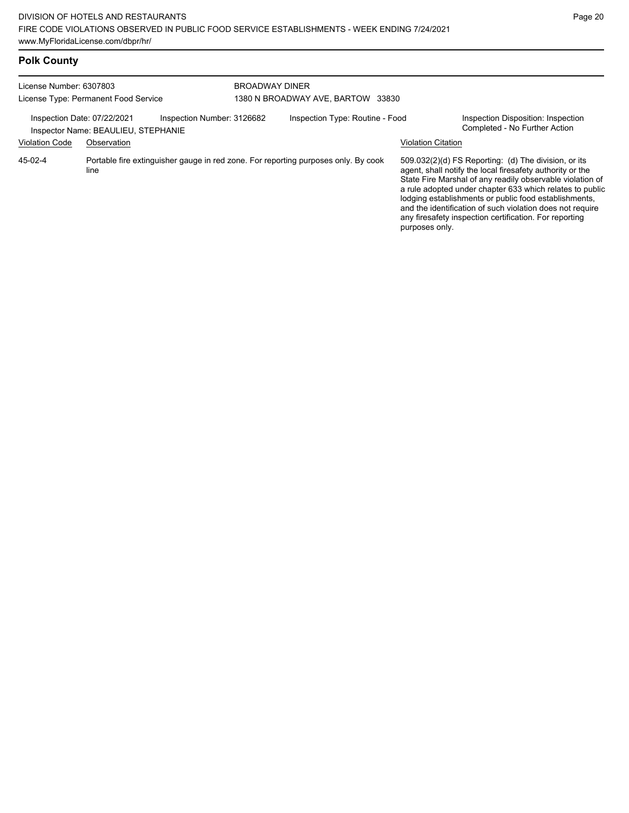# **Polk County**

| License Number: 6307803<br>License Type: Permanent Food Service                                  |             |  | <b>BROADWAY DINER</b><br>1380 N BROADWAY AVE, BARTOW 33830 |                                                                                    |                                                                     |                                                                                                                                                                                                                                                                                                                                                                                                                            |  |
|--------------------------------------------------------------------------------------------------|-------------|--|------------------------------------------------------------|------------------------------------------------------------------------------------|---------------------------------------------------------------------|----------------------------------------------------------------------------------------------------------------------------------------------------------------------------------------------------------------------------------------------------------------------------------------------------------------------------------------------------------------------------------------------------------------------------|--|
| Inspection Number: 3126682<br>Inspection Date: 07/22/2021<br>Inspector Name: BEAULIEU, STEPHANIE |             |  | Inspection Type: Routine - Food                            |                                                                                    | Inspection Disposition: Inspection<br>Completed - No Further Action |                                                                                                                                                                                                                                                                                                                                                                                                                            |  |
| <b>Violation Code</b>                                                                            | Observation |  |                                                            |                                                                                    | <b>Violation Citation</b>                                           |                                                                                                                                                                                                                                                                                                                                                                                                                            |  |
| 45-02-4                                                                                          | line        |  |                                                            | Portable fire extinguisher gauge in red zone. For reporting purposes only. By cook | purposes only.                                                      | 509.032(2)(d) FS Reporting: (d) The division, or its<br>agent, shall notify the local firesafety authority or the<br>State Fire Marshal of any readily observable violation of<br>a rule adopted under chapter 633 which relates to public<br>lodging establishments or public food establishments,<br>and the identification of such violation does not require<br>any firesafety inspection certification. For reporting |  |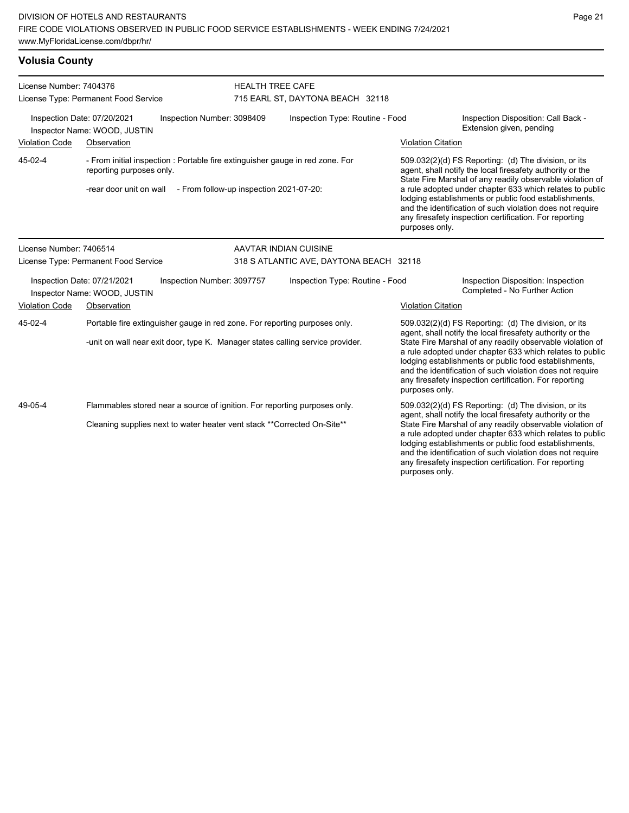| <b>Volusia County</b>                                                                     |                                                                                                                                                                              |                                                                                                     |                           |                                                                                                                                                                                                                                                                                                                                                                                                                            |  |  |
|-------------------------------------------------------------------------------------------|------------------------------------------------------------------------------------------------------------------------------------------------------------------------------|-----------------------------------------------------------------------------------------------------|---------------------------|----------------------------------------------------------------------------------------------------------------------------------------------------------------------------------------------------------------------------------------------------------------------------------------------------------------------------------------------------------------------------------------------------------------------------|--|--|
| License Number: 7404376                                                                   |                                                                                                                                                                              | <b>HEALTH TREE CAFE</b>                                                                             |                           |                                                                                                                                                                                                                                                                                                                                                                                                                            |  |  |
|                                                                                           | License Type: Permanent Food Service                                                                                                                                         | 715 EARL ST, DAYTONA BEACH 32118                                                                    |                           |                                                                                                                                                                                                                                                                                                                                                                                                                            |  |  |
| Inspection Date: 07/20/2021<br>Inspection Number: 3098409<br>Inspector Name: WOOD, JUSTIN |                                                                                                                                                                              | Inspection Type: Routine - Food                                                                     |                           | Inspection Disposition: Call Back -<br>Extension given, pending                                                                                                                                                                                                                                                                                                                                                            |  |  |
| <b>Violation Code</b>                                                                     | Observation                                                                                                                                                                  |                                                                                                     | <b>Violation Citation</b> |                                                                                                                                                                                                                                                                                                                                                                                                                            |  |  |
| 45-02-4                                                                                   | - From initial inspection : Portable fire extinguisher gauge in red zone. For<br>reporting purposes only.<br>-rear door unit on wall - From follow-up inspection 2021-07-20: | purposes only.                                                                                      |                           | 509.032(2)(d) FS Reporting: (d) The division, or its<br>agent, shall notify the local firesafety authority or the<br>State Fire Marshal of any readily observable violation of<br>a rule adopted under chapter 633 which relates to public<br>lodging establishments or public food establishments,<br>and the identification of such violation does not require<br>any firesafety inspection certification. For reporting |  |  |
| License Number: 7406514                                                                   | License Type: Permanent Food Service<br>Inspection Date: 07/21/2021<br>Inspection Number: 3097757                                                                            | AAVTAR INDIAN CUISINE<br>318 S ATLANTIC AVE, DAYTONA BEACH 32118<br>Inspection Type: Routine - Food |                           | Inspection Disposition: Inspection                                                                                                                                                                                                                                                                                                                                                                                         |  |  |
|                                                                                           | Inspector Name: WOOD, JUSTIN                                                                                                                                                 |                                                                                                     |                           | Completed - No Further Action                                                                                                                                                                                                                                                                                                                                                                                              |  |  |
| <b>Violation Code</b>                                                                     | Observation                                                                                                                                                                  |                                                                                                     | <b>Violation Citation</b> |                                                                                                                                                                                                                                                                                                                                                                                                                            |  |  |
| 45-02-4                                                                                   | Portable fire extinguisher gauge in red zone. For reporting purposes only.<br>-unit on wall near exit door, type K. Manager states calling service provider.                 |                                                                                                     | purposes only.            | 509.032(2)(d) FS Reporting: (d) The division, or its<br>agent, shall notify the local firesafety authority or the<br>State Fire Marshal of any readily observable violation of<br>a rule adopted under chapter 633 which relates to public<br>lodging establishments or public food establishments,<br>and the identification of such violation does not require<br>any firesafety inspection certification. For reporting |  |  |
| 49-05-4                                                                                   | Flammables stored near a source of ignition. For reporting purposes only.<br>Cleaning supplies next to water heater vent stack ** Corrected On-Site**                        |                                                                                                     |                           | 509.032(2)(d) FS Reporting: (d) The division, or its<br>agent, shall notify the local firesafety authority or the<br>State Fire Marshal of any readily observable violation of<br>a rule adopted under chapter 633 which relates to public<br>lodging establishments or public food establishments,<br>and the identification of such violation does not require<br>any firesafety inspection certification. For reporting |  |  |